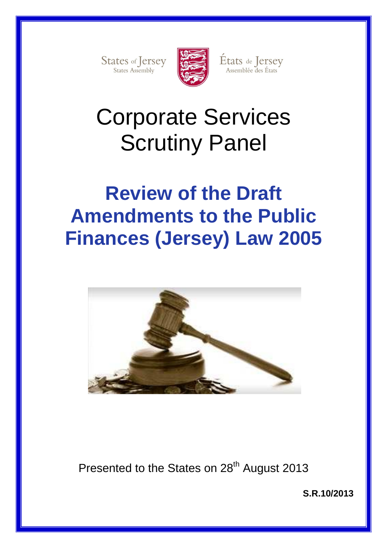States of Jersey



États de Jersey<br>Assemblée des États

# Corporate Services Scrutiny Panel

## **Review of the Draft Amendments to the Public Finances (Jersey) Law 2005**



Presented to the States on 28<sup>th</sup> August 2013

**S.R.10/2013**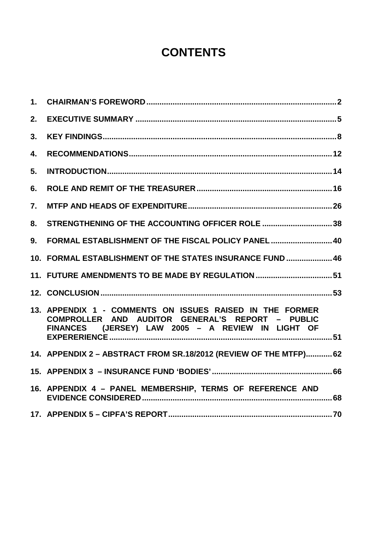## **CONTENTS**

| 1. |                                                                                                                                                                             |
|----|-----------------------------------------------------------------------------------------------------------------------------------------------------------------------------|
| 2. |                                                                                                                                                                             |
| 3. |                                                                                                                                                                             |
| 4. |                                                                                                                                                                             |
| 5. |                                                                                                                                                                             |
| 6. |                                                                                                                                                                             |
| 7. |                                                                                                                                                                             |
| 8. | STRENGTHENING OF THE ACCOUNTING OFFICER ROLE 38                                                                                                                             |
| 9. | FORMAL ESTABLISHMENT OF THE FISCAL POLICY PANEL  40                                                                                                                         |
|    | 10. FORMAL ESTABLISHMENT OF THE STATES INSURANCE FUND  46                                                                                                                   |
|    | 11. FUTURE AMENDMENTS TO BE MADE BY REGULATION51                                                                                                                            |
|    |                                                                                                                                                                             |
|    | 13. APPENDIX 1 - COMMENTS ON ISSUES RAISED IN THE FORMER<br>COMPROLLER AND AUDITOR GENERAL'S REPORT -<br><b>PUBLIC</b><br>FINANCES (JERSEY) LAW 2005 - A REVIEW IN LIGHT OF |
|    | 14. APPENDIX 2 - ABSTRACT FROM SR.18/2012 (REVIEW OF THE MTFP) 62                                                                                                           |
|    |                                                                                                                                                                             |
|    | 16. APPENDIX 4 - PANEL MEMBERSHIP, TERMS OF REFERENCE AND                                                                                                                   |
|    |                                                                                                                                                                             |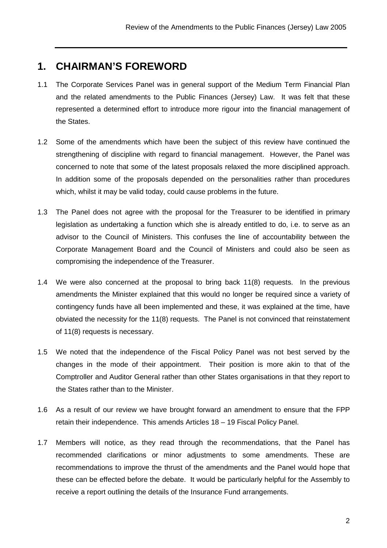## **1. CHAIRMAN'S FOREWORD**

- 1.1 The Corporate Services Panel was in general support of the Medium Term Financial Plan and the related amendments to the Public Finances (Jersey) Law. It was felt that these represented a determined effort to introduce more rigour into the financial management of the States.
- 1.2 Some of the amendments which have been the subject of this review have continued the strengthening of discipline with regard to financial management. However, the Panel was concerned to note that some of the latest proposals relaxed the more disciplined approach. In addition some of the proposals depended on the personalities rather than procedures which, whilst it may be valid today, could cause problems in the future.
- 1.3 The Panel does not agree with the proposal for the Treasurer to be identified in primary legislation as undertaking a function which she is already entitled to do, i.e. to serve as an advisor to the Council of Ministers. This confuses the line of accountability between the Corporate Management Board and the Council of Ministers and could also be seen as compromising the independence of the Treasurer.
- 1.4 We were also concerned at the proposal to bring back 11(8) requests. In the previous amendments the Minister explained that this would no longer be required since a variety of contingency funds have all been implemented and these, it was explained at the time, have obviated the necessity for the 11(8) requests. The Panel is not convinced that reinstatement of 11(8) requests is necessary.
- 1.5 We noted that the independence of the Fiscal Policy Panel was not best served by the changes in the mode of their appointment. Their position is more akin to that of the Comptroller and Auditor General rather than other States organisations in that they report to the States rather than to the Minister.
- 1.6 As a result of our review we have brought forward an amendment to ensure that the FPP retain their independence. This amends Articles 18 – 19 Fiscal Policy Panel.
- 1.7 Members will notice, as they read through the recommendations, that the Panel has recommended clarifications or minor adjustments to some amendments. These are recommendations to improve the thrust of the amendments and the Panel would hope that these can be effected before the debate. It would be particularly helpful for the Assembly to receive a report outlining the details of the Insurance Fund arrangements.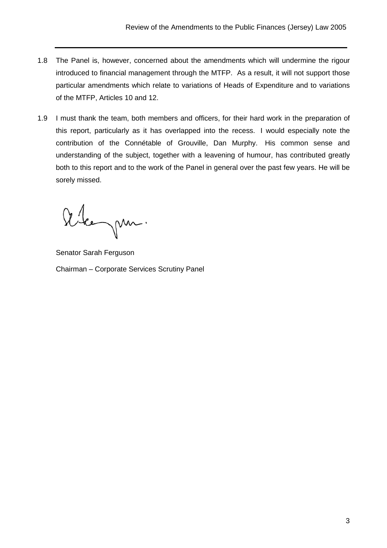- 1.8 The Panel is, however, concerned about the amendments which will undermine the rigour introduced to financial management through the MTFP. As a result, it will not support those particular amendments which relate to variations of Heads of Expenditure and to variations of the MTFP, Articles 10 and 12.
- 1.9 I must thank the team, both members and officers, for their hard work in the preparation of this report, particularly as it has overlapped into the recess. I would especially note the contribution of the Connétable of Grouville, Dan Murphy. His common sense and understanding of the subject, together with a leavening of humour, has contributed greatly both to this report and to the work of the Panel in general over the past few years. He will be sorely missed.

Alegan.

Senator Sarah Ferguson Chairman – Corporate Services Scrutiny Panel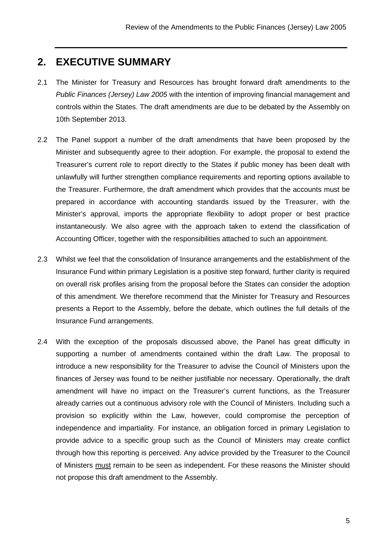### **2. EXECUTIVE SUMMARY**

- 2.1 The Minister for Treasury and Resources has brought forward draft amendments to the Public Finances (Jersey) Law 2005 with the intention of improving financial management and controls within the States. The draft amendments are due to be debated by the Assembly on 10th September 2013.
- 2.2 The Panel support a number of the draft amendments that have been proposed by the Minister and subsequently agree to their adoption. For example, the proposal to extend the Treasurer's current role to report directly to the States if public money has been dealt with unlawfully will further strengthen compliance requirements and reporting options available to the Treasurer. Furthermore, the draft amendment which provides that the accounts must be prepared in accordance with accounting standards issued by the Treasurer, with the Minister's approval, imports the appropriate flexibility to adopt proper or best practice instantaneously. We also agree with the approach taken to extend the classification of Accounting Officer, together with the responsibilities attached to such an appointment.
- 2.3 Whilst we feel that the consolidation of Insurance arrangements and the establishment of the Insurance Fund within primary Legislation is a positive step forward, further clarity is required on overall risk profiles arising from the proposal before the States can consider the adoption of this amendment. We therefore recommend that the Minister for Treasury and Resources presents a Report to the Assembly, before the debate, which outlines the full details of the Insurance Fund arrangements.
- 2.4 With the exception of the proposals discussed above, the Panel has great difficulty in supporting a number of amendments contained within the draft Law. The proposal to introduce a new responsibility for the Treasurer to advise the Council of Ministers upon the finances of Jersey was found to be neither justifiable nor necessary. Operationally, the draft amendment will have no impact on the Treasurer's current functions, as the Treasurer already carries out a continuous advisory role with the Council of Ministers. Including such a provision so explicitly within the Law, however, could compromise the perception of independence and impartiality. For instance, an obligation forced in primary Legislation to provide advice to a specific group such as the Council of Ministers may create conflict through how this reporting is perceived. Any advice provided by the Treasurer to the Council of Ministers must remain to be seen as independent. For these reasons the Minister should not propose this draft amendment to the Assembly.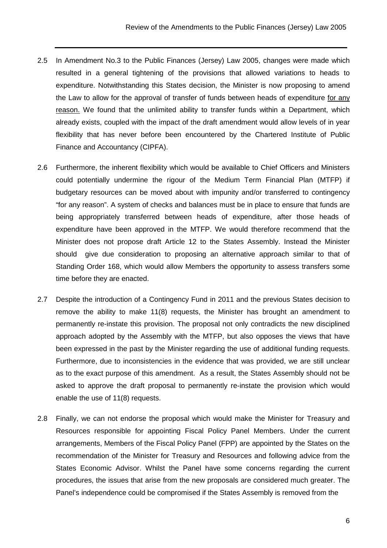- 2.5 In Amendment No.3 to the Public Finances (Jersey) Law 2005, changes were made which resulted in a general tightening of the provisions that allowed variations to heads to expenditure. Notwithstanding this States decision, the Minister is now proposing to amend the Law to allow for the approval of transfer of funds between heads of expenditure for any reason. We found that the unlimited ability to transfer funds within a Department, which already exists, coupled with the impact of the draft amendment would allow levels of in year flexibility that has never before been encountered by the Chartered Institute of Public Finance and Accountancy (CIPFA).
- 2.6 Furthermore, the inherent flexibility which would be available to Chief Officers and Ministers could potentially undermine the rigour of the Medium Term Financial Plan (MTFP) if budgetary resources can be moved about with impunity and/or transferred to contingency "for any reason". A system of checks and balances must be in place to ensure that funds are being appropriately transferred between heads of expenditure, after those heads of expenditure have been approved in the MTFP. We would therefore recommend that the Minister does not propose draft Article 12 to the States Assembly. Instead the Minister should give due consideration to proposing an alternative approach similar to that of Standing Order 168, which would allow Members the opportunity to assess transfers some time before they are enacted.
- 2.7 Despite the introduction of a Contingency Fund in 2011 and the previous States decision to remove the ability to make 11(8) requests, the Minister has brought an amendment to permanently re-instate this provision. The proposal not only contradicts the new disciplined approach adopted by the Assembly with the MTFP, but also opposes the views that have been expressed in the past by the Minister regarding the use of additional funding requests. Furthermore, due to inconsistencies in the evidence that was provided, we are still unclear as to the exact purpose of this amendment. As a result, the States Assembly should not be asked to approve the draft proposal to permanently re-instate the provision which would enable the use of 11(8) requests.
- 2.8 Finally, we can not endorse the proposal which would make the Minister for Treasury and Resources responsible for appointing Fiscal Policy Panel Members. Under the current arrangements, Members of the Fiscal Policy Panel (FPP) are appointed by the States on the recommendation of the Minister for Treasury and Resources and following advice from the States Economic Advisor. Whilst the Panel have some concerns regarding the current procedures, the issues that arise from the new proposals are considered much greater. The Panel's independence could be compromised if the States Assembly is removed from the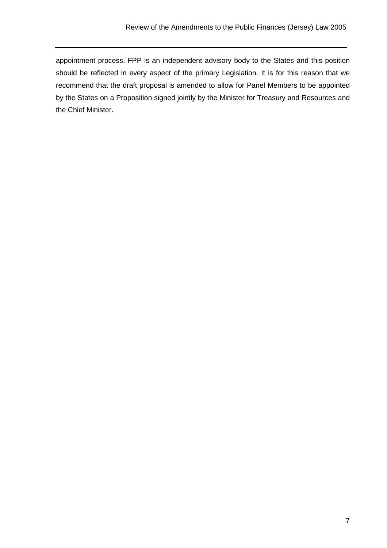appointment process. FPP is an independent advisory body to the States and this position should be reflected in every aspect of the primary Legislation. It is for this reason that we recommend that the draft proposal is amended to allow for Panel Members to be appointed by the States on a Proposition signed jointly by the Minister for Treasury and Resources and the Chief Minister.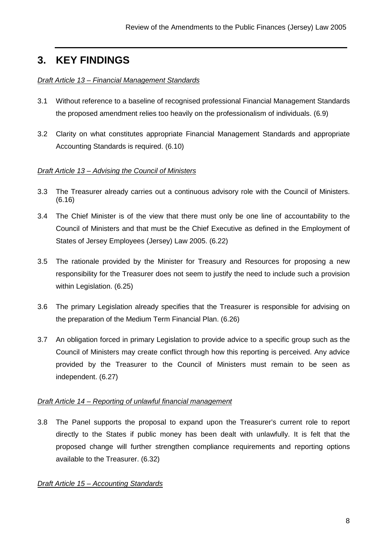## **3. KEY FINDINGS**

#### Draft Article 13 - Financial Management Standards

- 3.1 Without reference to a baseline of recognised professional Financial Management Standards the proposed amendment relies too heavily on the professionalism of individuals. (6.9)
- 3.2Clarity on what constitutes appropriate Financial Management Standards and appropriate Accounting Standards is required. (6.10)

#### Draft Article 13 – Advising the Council of Ministers

- 3.3 The Treasurer already carries out a continuous advisory role with the Council of Ministers. (6.16)
- 3.4 The Chief Minister is of the view that there must only be one line of accountability to the Council of Ministers and that must be the Chief Executive as defined in the Employment of States of Jersey Employees (Jersey) Law 2005. (6.22)
- 3.5 The rationale provided by the Minister for Treasury and Resources for proposing a new responsibility for the Treasurer does not seem to justify the need to include such a provision within Legislation. (6.25)
- 3.6 The primary Legislation already specifies that the Treasurer is responsible for advising on the preparation of the Medium Term Financial Plan. (6.26)
- 3.7 An obligation forced in primary Legislation to provide advice to a specific group such as the Council of Ministers may create conflict through how this reporting is perceived. Any advice provided by the Treasurer to the Council of Ministers must remain to be seen as independent. (6.27)

#### Draft Article 14 – Reporting of unlawful financial management

3.8 The Panel supports the proposal to expand upon the Treasurer's current role to report directly to the States if public money has been dealt with unlawfully. It is felt that the proposed change will further strengthen compliance requirements and reporting options available to the Treasurer. (6.32)

#### Draft Article 15 – Accounting Standards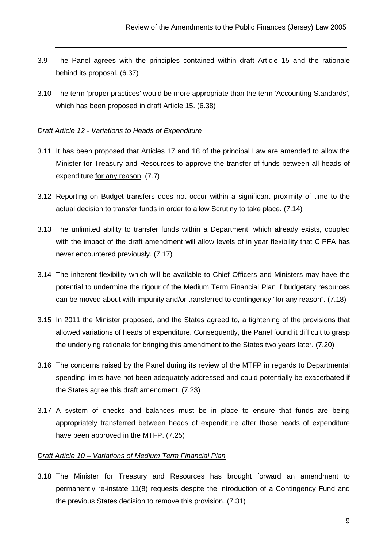- 3.9 The Panel agrees with the principles contained within draft Article 15 and the rationale behind its proposal. (6.37)
- 3.10 The term 'proper practices' would be more appropriate than the term 'Accounting Standards', which has been proposed in draft Article 15. (6.38)

#### Draft Article 12 - Variations to Heads of Expenditure

- 3.11 It has been proposed that Articles 17 and 18 of the principal Law are amended to allow the Minister for Treasury and Resources to approve the transfer of funds between all heads of expenditure for any reason. (7.7)
- 3.12 Reporting on Budget transfers does not occur within a significant proximity of time to the actual decision to transfer funds in order to allow Scrutiny to take place. (7.14)
- 3.13 The unlimited ability to transfer funds within a Department, which already exists, coupled with the impact of the draft amendment will allow levels of in year flexibility that CIPFA has never encountered previously. (7.17)
- 3.14 The inherent flexibility which will be available to Chief Officers and Ministers may have the potential to undermine the rigour of the Medium Term Financial Plan if budgetary resources can be moved about with impunity and/or transferred to contingency "for any reason". (7.18)
- 3.15 In 2011 the Minister proposed, and the States agreed to, a tightening of the provisions that allowed variations of heads of expenditure. Consequently, the Panel found it difficult to grasp the underlying rationale for bringing this amendment to the States two years later. (7.20)
- 3.16 The concerns raised by the Panel during its review of the MTFP in regards to Departmental spending limits have not been adequately addressed and could potentially be exacerbated if the States agree this draft amendment. (7.23)
- 3.17 A system of checks and balances must be in place to ensure that funds are being appropriately transferred between heads of expenditure after those heads of expenditure have been approved in the MTFP. (7.25)

#### Draft Article 10 – Variations of Medium Term Financial Plan

3.18 The Minister for Treasury and Resources has brought forward an amendment to permanently re-instate 11(8) requests despite the introduction of a Contingency Fund and the previous States decision to remove this provision. (7.31)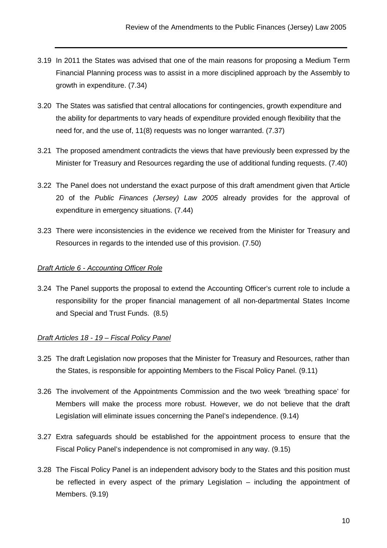- 3.19 In 2011 the States was advised that one of the main reasons for proposing a Medium Term Financial Planning process was to assist in a more disciplined approach by the Assembly to growth in expenditure. (7.34)
- 3.20 The States was satisfied that central allocations for contingencies, growth expenditure and the ability for departments to vary heads of expenditure provided enough flexibility that the need for, and the use of, 11(8) requests was no longer warranted. (7.37)
- 3.21 The proposed amendment contradicts the views that have previously been expressed by the Minister for Treasury and Resources regarding the use of additional funding requests. (7.40)
- 3.22 The Panel does not understand the exact purpose of this draft amendment given that Article 20 of the Public Finances (Jersey) Law 2005 already provides for the approval of expenditure in emergency situations. (7.44)
- 3.23 There were inconsistencies in the evidence we received from the Minister for Treasury and Resources in regards to the intended use of this provision. (7.50)

#### Draft Article 6 - Accounting Officer Role

3.24 The Panel supports the proposal to extend the Accounting Officer's current role to include a responsibility for the proper financial management of all non-departmental States Income and Special and Trust Funds. (8.5)

#### Draft Articles 18 - 19 – Fiscal Policy Panel

- 3.25 The draft Legislation now proposes that the Minister for Treasury and Resources, rather than the States, is responsible for appointing Members to the Fiscal Policy Panel. (9.11)
- 3.26 The involvement of the Appointments Commission and the two week 'breathing space' for Members will make the process more robust. However, we do not believe that the draft Legislation will eliminate issues concerning the Panel's independence. (9.14)
- 3.27 Extra safeguards should be established for the appointment process to ensure that the Fiscal Policy Panel's independence is not compromised in any way. (9.15)
- 3.28 The Fiscal Policy Panel is an independent advisory body to the States and this position must be reflected in every aspect of the primary Legislation – including the appointment of Members. (9.19)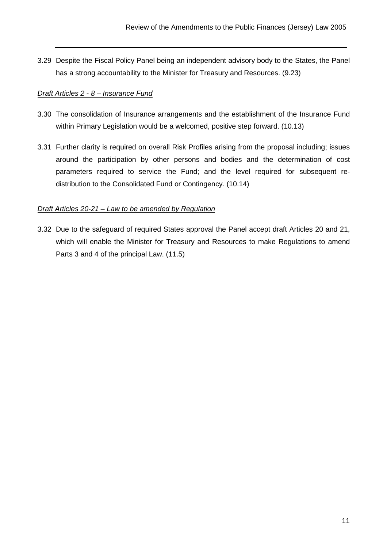3.29 Despite the Fiscal Policy Panel being an independent advisory body to the States, the Panel has a strong accountability to the Minister for Treasury and Resources. (9.23)

#### Draft Articles 2 - 8 – Insurance Fund

- 3.30 The consolidation of Insurance arrangements and the establishment of the Insurance Fund within Primary Legislation would be a welcomed, positive step forward. (10.13)
- 3.31 Further clarity is required on overall Risk Profiles arising from the proposal including; issues around the participation by other persons and bodies and the determination of cost parameters required to service the Fund; and the level required for subsequent redistribution to the Consolidated Fund or Contingency. (10.14)

#### Draft Articles 20-21 – Law to be amended by Regulation

3.32 Due to the safeguard of required States approval the Panel accept draft Articles 20 and 21, which will enable the Minister for Treasury and Resources to make Regulations to amend Parts 3 and 4 of the principal Law. (11.5)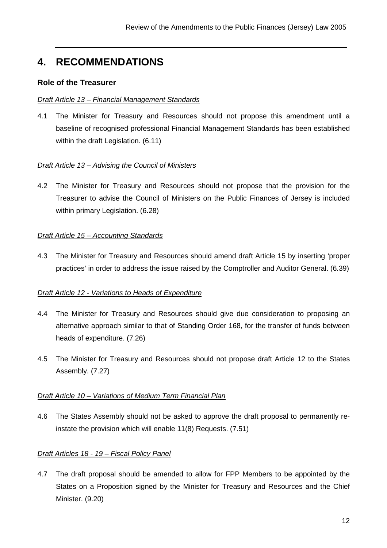## **4. RECOMMENDATIONS**

#### **Role of the Treasurer**

#### Draft Article 13 – Financial Management Standards

4.1 The Minister for Treasury and Resources should not propose this amendment until a baseline of recognised professional Financial Management Standards has been established within the draft Legislation. (6.11)

#### Draft Article 13 – Advising the Council of Ministers

4.2 The Minister for Treasury and Resources should not propose that the provision for the Treasurer to advise the Council of Ministers on the Public Finances of Jersey is included within primary Legislation. (6.28)

#### Draft Article 15 – Accounting Standards

4.3 The Minister for Treasury and Resources should amend draft Article 15 by inserting 'proper practices' in order to address the issue raised by the Comptroller and Auditor General. (6.39)

#### Draft Article 12 - Variations to Heads of Expenditure

- 4.4 The Minister for Treasury and Resources should give due consideration to proposing an alternative approach similar to that of Standing Order 168, for the transfer of funds between heads of expenditure. (7.26)
- 4.5 The Minister for Treasury and Resources should not propose draft Article 12 to the States Assembly. (7.27)

#### Draft Article 10 – Variations of Medium Term Financial Plan

4.6 The States Assembly should not be asked to approve the draft proposal to permanently reinstate the provision which will enable 11(8) Requests. (7.51)

#### Draft Articles 18 - 19 – Fiscal Policy Panel

4.7 The draft proposal should be amended to allow for FPP Members to be appointed by the States on a Proposition signed by the Minister for Treasury and Resources and the Chief Minister. (9.20)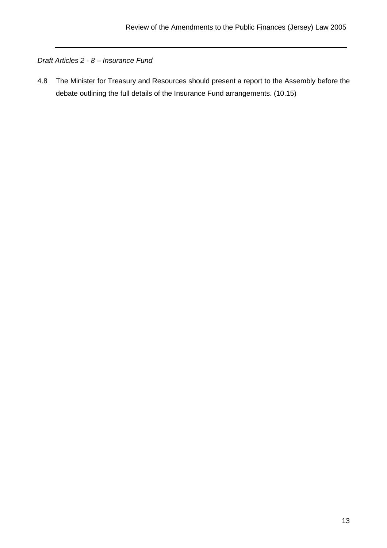#### Draft Articles 2 - 8 – Insurance Fund

4.8 The Minister for Treasury and Resources should present a report to the Assembly before the debate outlining the full details of the Insurance Fund arrangements. (10.15)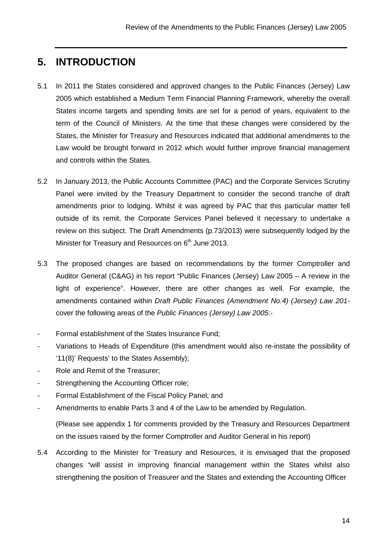## **5. INTRODUCTION**

- 5.1 In 2011 the States considered and approved changes to the Public Finances (Jersey) Law 2005 which established a Medium Term Financial Planning Framework, whereby the overall States income targets and spending limits are set for a period of years, equivalent to the term of the Council of Ministers. At the time that these changes were considered by the States, the Minister for Treasury and Resources indicated that additional amendments to the Law would be brought forward in 2012 which would further improve financial management and controls within the States.
- 5.2 In January 2013, the Public Accounts Committee (PAC) and the Corporate Services Scrutiny Panel were invited by the Treasury Department to consider the second tranche of draft amendments prior to lodging. Whilst it was agreed by PAC that this particular matter fell outside of its remit, the Corporate Services Panel believed it necessary to undertake a review on this subject. The Draft Amendments (p.73/2013) were subsequently lodged by the Minister for Treasury and Resources on  $6<sup>th</sup>$  June 2013.
- 5.3 The proposed changes are based on recommendations by the former Comptroller and Auditor General (C&AG) in his report "Public Finances (Jersey) Law 2005 – A review in the light of experience". However, there are other changes as well. For example, the amendments contained within Draft Public Finances (Amendment No.4) (Jersey) Law 201 cover the following areas of the Public Finances (Jersey) Law 2005:-
- Formal establishment of the States Insurance Fund;
- Variations to Heads of Expenditure (this amendment would also re-instate the possibility of '11(8)' Requests' to the States Assembly);
- Role and Remit of the Treasurer;
- Strengthening the Accounting Officer role;
- Formal Establishment of the Fiscal Policy Panel: and
- Amendments to enable Parts 3 and 4 of the Law to be amended by Regulation.

(Please see appendix 1 for comments provided by the Treasury and Resources Department on the issues raised by the former Comptroller and Auditor General in his report)

5.4 According to the Minister for Treasury and Resources, it is envisaged that the proposed changes "will assist in improving financial management within the States whilst also strengthening the position of Treasurer and the States and extending the Accounting Officer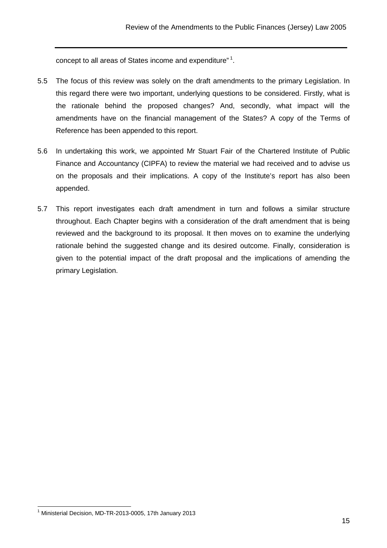concept to all areas of States income and expenditure" $^1$ .

- 5.5 The focus of this review was solely on the draft amendments to the primary Legislation. In this regard there were two important, underlying questions to be considered. Firstly, what is the rationale behind the proposed changes? And, secondly, what impact will the amendments have on the financial management of the States? A copy of the Terms of Reference has been appended to this report.
- 5.6 In undertaking this work, we appointed Mr Stuart Fair of the Chartered Institute of Public Finance and Accountancy (CIPFA) to review the material we had received and to advise us on the proposals and their implications. A copy of the Institute's report has also been appended.
- 5.7 This report investigates each draft amendment in turn and follows a similar structure throughout. Each Chapter begins with a consideration of the draft amendment that is being reviewed and the background to its proposal. It then moves on to examine the underlying rationale behind the suggested change and its desired outcome. Finally, consideration is given to the potential impact of the draft proposal and the implications of amending the primary Legislation.

 <sup>1</sup> Ministerial Decision, MD-TR-2013-0005, 17th January 2013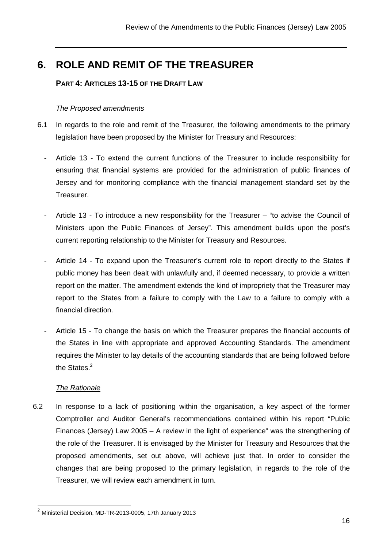## **6. ROLE AND REMIT OF THE TREASURER**

#### **PART 4: ARTICLES 13-15 OF THE DRAFT LAW**

#### The Proposed amendments

- 6.1 In regards to the role and remit of the Treasurer, the following amendments to the primary legislation have been proposed by the Minister for Treasury and Resources:
	- Article 13 To extend the current functions of the Treasurer to include responsibility for ensuring that financial systems are provided for the administration of public finances of Jersey and for monitoring compliance with the financial management standard set by the Treasurer.
	- Article 13 To introduce a new responsibility for the Treasurer "to advise the Council of Ministers upon the Public Finances of Jersey". This amendment builds upon the post's current reporting relationship to the Minister for Treasury and Resources.
	- Article 14 To expand upon the Treasurer's current role to report directly to the States if public money has been dealt with unlawfully and, if deemed necessary, to provide a written report on the matter. The amendment extends the kind of impropriety that the Treasurer may report to the States from a failure to comply with the Law to a failure to comply with a financial direction.
	- Article 15 To change the basis on which the Treasurer prepares the financial accounts of the States in line with appropriate and approved Accounting Standards. The amendment requires the Minister to lay details of the accounting standards that are being followed before the States.<sup>2</sup>

#### The Rationale

6.2 In response to a lack of positioning within the organisation, a key aspect of the former Comptroller and Auditor General's recommendations contained within his report "Public Finances (Jersey) Law 2005 – A review in the light of experience" was the strengthening of the role of the Treasurer. It is envisaged by the Minister for Treasury and Resources that the proposed amendments, set out above, will achieve just that. In order to consider the changes that are being proposed to the primary legislation, in regards to the role of the Treasurer, we will review each amendment in turn.

 $^2$  Ministerial Decision, MD-TR-2013-0005, 17th January 2013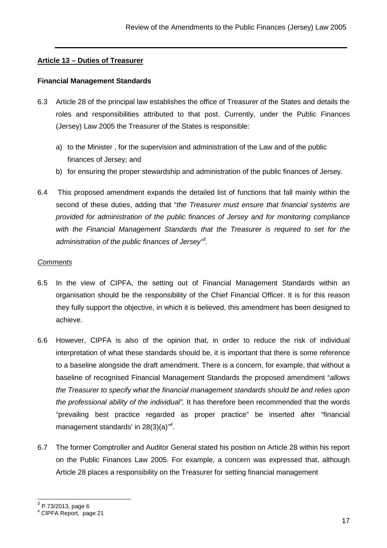#### **Article 13 – Duties of Treasurer**

#### **Financial Management Standards**

- 6.3 Article 28 of the principal law establishes the office of Treasurer of the States and details the roles and responsibilities attributed to that post. Currently, under the Public Finances (Jersey) Law 2005 the Treasurer of the States is responsible:
	- a) to the Minister , for the supervision and administration of the Law and of the public finances of Jersey; and
	- b) for ensuring the proper stewardship and administration of the public finances of Jersey.
- 6.4 This proposed amendment expands the detailed list of functions that fall mainly within the second of these duties, adding that "the Treasurer must ensure that financial systems are provided for administration of the public finances of Jersey and for monitoring compliance with the Financial Management Standards that the Treasurer is required to set for the administration of the public finances of Jersey<sup>33</sup>.

#### **Comments**

- 6.5 In the view of CIPFA, the setting out of Financial Management Standards within an organisation should be the responsibility of the Chief Financial Officer. It is for this reason they fully support the objective, in which it is believed, this amendment has been designed to achieve.
- 6.6 However, CIPFA is also of the opinion that, in order to reduce the risk of individual interpretation of what these standards should be, it is important that there is some reference to a baseline alongside the draft amendment. There is a concern, for example, that without a baseline of recognised Financial Management Standards the proposed amendment "allows the Treasurer to specify what the financial management standards should be and relies upon the professional ability of the individual". It has therefore been recommended that the words "prevailing best practice regarded as proper practice" be inserted after "financial management standards' in 28(3)(a) $^{\prime\prime}$ .
- 6.7 The former Comptroller and Auditor General stated his position on Article 28 within his report on the Public Finances Law 2005. For example, a concern was expressed that, although Article 28 places a responsibility on the Treasurer for setting financial management

<sup>&</sup>lt;u>。</u><br><sup>3</sup> P.73/2013, page 6

<sup>4</sup> CIPFA Report, page 21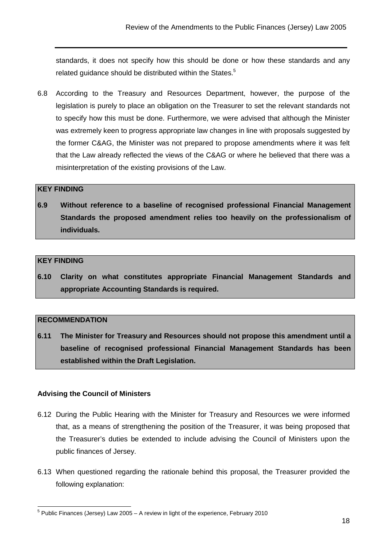standards, it does not specify how this should be done or how these standards and any related guidance should be distributed within the States.<sup>5</sup>

6.8 According to the Treasury and Resources Department, however, the purpose of the legislation is purely to place an obligation on the Treasurer to set the relevant standards not to specify how this must be done. Furthermore, we were advised that although the Minister was extremely keen to progress appropriate law changes in line with proposals suggested by the former C&AG, the Minister was not prepared to propose amendments where it was felt that the Law already reflected the views of the C&AG or where he believed that there was a misinterpretation of the existing provisions of the Law.

#### **KEY FINDING**

**6.9 Without reference to a baseline of recognised professional Financial Management Standards the proposed amendment relies too heavily on the professionalism of individuals.** 

#### **KEY FINDING**

**6.10 Clarity on what constitutes appropriate Financial Management Standards and appropriate Accounting Standards is required.** 

#### **RECOMMENDATION**

**6.11 The Minister for Treasury and Resources should not propose this amendment until a baseline of recognised professional Financial Management Standards has been established within the Draft Legislation.** 

#### **Advising the Council of Ministers**

- 6.12 During the Public Hearing with the Minister for Treasury and Resources we were informed that, as a means of strengthening the position of the Treasurer, it was being proposed that the Treasurer's duties be extended to include advising the Council of Ministers upon the public finances of Jersey.
- 6.13 When questioned regarding the rationale behind this proposal, the Treasurer provided the following explanation:

 5 Public Finances (Jersey) Law 2005 – A review in light of the experience, February 2010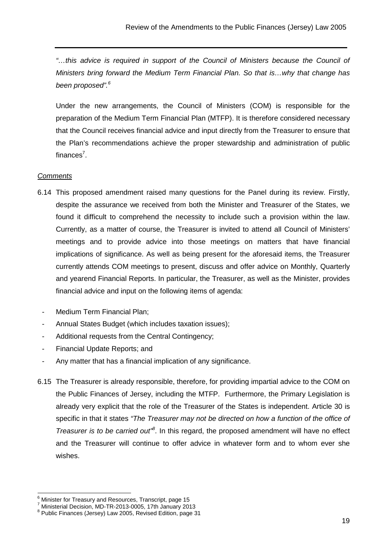"…this advice is required in support of the Council of Ministers because the Council of Ministers bring forward the Medium Term Financial Plan. So that is…why that change has been proposed".<sup>6</sup>

Under the new arrangements, the Council of Ministers (COM) is responsible for the preparation of the Medium Term Financial Plan (MTFP). It is therefore considered necessary that the Council receives financial advice and input directly from the Treasurer to ensure that the Plan's recommendations achieve the proper stewardship and administration of public finances<sup>7</sup>.

#### **Comments**

- 6.14 This proposed amendment raised many questions for the Panel during its review. Firstly, despite the assurance we received from both the Minister and Treasurer of the States, we found it difficult to comprehend the necessity to include such a provision within the law. Currently, as a matter of course, the Treasurer is invited to attend all Council of Ministers' meetings and to provide advice into those meetings on matters that have financial implications of significance. As well as being present for the aforesaid items, the Treasurer currently attends COM meetings to present, discuss and offer advice on Monthly, Quarterly and yearend Financial Reports. In particular, the Treasurer, as well as the Minister, provides financial advice and input on the following items of agenda:
	- Medium Term Financial Plan;
- Annual States Budget (which includes taxation issues);
- Additional requests from the Central Contingency;
- Financial Update Reports; and
- Any matter that has a financial implication of any significance.
- 6.15 The Treasurer is already responsible, therefore, for providing impartial advice to the COM on the Public Finances of Jersey, including the MTFP. Furthermore, the Primary Legislation is already very explicit that the role of the Treasurer of the States is independent. Article 30 is specific in that it states "The Treasurer may not be directed on how a function of the office of Treasurer is to be carried out<sup>18</sup>. In this regard, the proposed amendment will have no effect and the Treasurer will continue to offer advice in whatever form and to whom ever she wishes.

<sup>&</sup>lt;u>communisted in the matter communist metal</u><br>Interprist of the Treasury and Resources, Transcript, page 15

<sup>7</sup> Ministerial Decision, MD-TR-2013-0005, 17th January 2013

<sup>&</sup>lt;sup>8</sup> Public Finances (Jersey) Law 2005, Revised Edition, page 31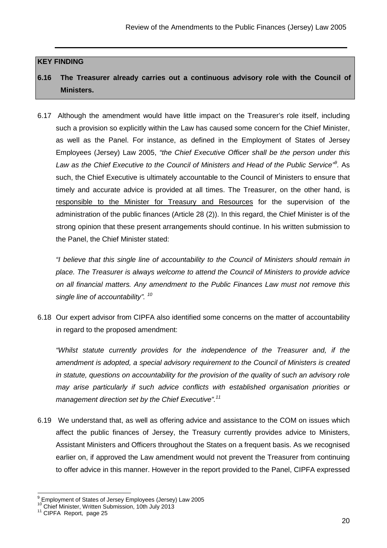#### **KEY FINDING**

### **6.16 The Treasurer already carries out a continuous advisory role with the Council of Ministers.**

6.17 Although the amendment would have little impact on the Treasurer's role itself, including such a provision so explicitly within the Law has caused some concern for the Chief Minister, as well as the Panel. For instance, as defined in the Employment of States of Jersey Employees (Jersey) Law 2005, "the Chief Executive Officer shall be the person under this Law as the Chief Executive to the Council of Ministers and Head of the Public Service<sup>;9</sup>. As such, the Chief Executive is ultimately accountable to the Council of Ministers to ensure that timely and accurate advice is provided at all times. The Treasurer, on the other hand, is responsible to the Minister for Treasury and Resources for the supervision of the administration of the public finances (Article 28 (2)). In this regard, the Chief Minister is of the strong opinion that these present arrangements should continue. In his written submission to the Panel, the Chief Minister stated:

"I believe that this single line of accountability to the Council of Ministers should remain in place. The Treasurer is always welcome to attend the Council of Ministers to provide advice on all financial matters. Any amendment to the Public Finances Law must not remove this single line of accountability". <sup>10</sup>

6.18 Our expert advisor from CIPFA also identified some concerns on the matter of accountability in regard to the proposed amendment:

"Whilst statute currently provides for the independence of the Treasurer and, if the amendment is adopted, a special advisory requirement to the Council of Ministers is created in statute, questions on accountability for the provision of the quality of such an advisory role may arise particularly if such advice conflicts with established organisation priorities or management direction set by the Chief Executive".<sup>11</sup>

6.19 We understand that, as well as offering advice and assistance to the COM on issues which affect the public finances of Jersey, the Treasury currently provides advice to Ministers, Assistant Ministers and Officers throughout the States on a frequent basis. As we recognised earlier on, if approved the Law amendment would not prevent the Treasurer from continuing to offer advice in this manner. However in the report provided to the Panel, CIPFA expressed

 9 Employment of States of Jersey Employees (Jersey) Law 2005

<sup>&</sup>lt;sup>10</sup> Chief Minister, Written Submission, 10th July 2013

<sup>&</sup>lt;sup>11</sup> CIPFA Report, page 25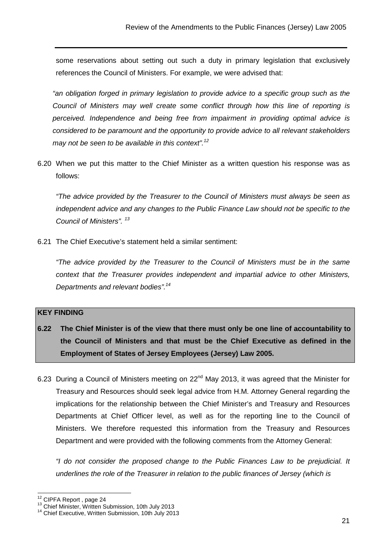some reservations about setting out such a duty in primary legislation that exclusively references the Council of Ministers. For example, we were advised that:

"an obligation forged in primary legislation to provide advice to a specific group such as the Council of Ministers may well create some conflict through how this line of reporting is perceived. Independence and being free from impairment in providing optimal advice is considered to be paramount and the opportunity to provide advice to all relevant stakeholders may not be seen to be available in this context".<sup>12</sup>

6.20 When we put this matter to the Chief Minister as a written question his response was as follows:

"The advice provided by the Treasurer to the Council of Ministers must always be seen as independent advice and any changes to the Public Finance Law should not be specific to the Council of Ministers".<sup>13</sup>

6.21 The Chief Executive's statement held a similar sentiment:

"The advice provided by the Treasurer to the Council of Ministers must be in the same context that the Treasurer provides independent and impartial advice to other Ministers, Departments and relevant bodies".<sup>14</sup>

#### **KEY FINDING**

- **6.22 The Chief Minister is of the view that there must only be one line of accountability to the Council of Ministers and that must be the Chief Executive as defined in the Employment of States of Jersey Employees (Jersey) Law 2005.**
- 6.23 During a Council of Ministers meeting on 22<sup>nd</sup> May 2013, it was agreed that the Minister for Treasury and Resources should seek legal advice from H.M. Attorney General regarding the implications for the relationship between the Chief Minister's and Treasury and Resources Departments at Chief Officer level, as well as for the reporting line to the Council of Ministers. We therefore requested this information from the Treasury and Resources Department and were provided with the following comments from the Attorney General:

 "I do not consider the proposed change to the Public Finances Law to be prejudicial. It underlines the role of the Treasurer in relation to the public finances of Jersey (which is

j

 $^{12}$  CIPFA Report, page 24

<sup>&</sup>lt;sup>13</sup> Chief Minister, Written Submission, 10th July 2013

<sup>&</sup>lt;sup>14</sup> Chief Executive, Written Submission, 10th July 2013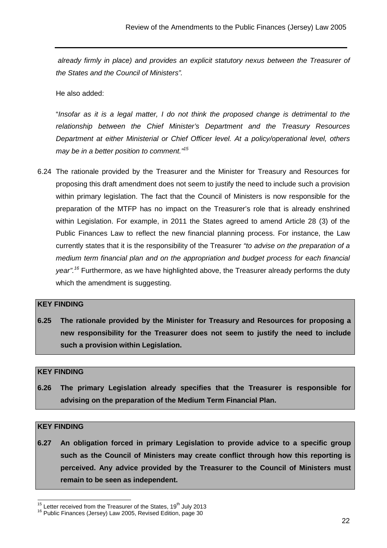already firmly in place) and provides an explicit statutory nexus between the Treasurer of the States and the Council of Ministers".

He also added:

 "Insofar as it is a legal matter, I do not think the proposed change is detrimental to the relationship between the Chief Minister's Department and the Treasury Resources Department at either Ministerial or Chief Officer level. At a policy/operational level, others may be in a better position to comment."<sup>15</sup>

6.24 The rationale provided by the Treasurer and the Minister for Treasury and Resources for proposing this draft amendment does not seem to justify the need to include such a provision within primary legislation. The fact that the Council of Ministers is now responsible for the preparation of the MTFP has no impact on the Treasurer's role that is already enshrined within Legislation. For example, in 2011 the States agreed to amend Article 28 (3) of the Public Finances Law to reflect the new financial planning process. For instance, the Law currently states that it is the responsibility of the Treasurer "to advise on the preparation of a medium term financial plan and on the appropriation and budget process for each financial year".<sup>16</sup> Furthermore, as we have highlighted above, the Treasurer already performs the duty which the amendment is suggesting.

#### **KEY FINDING**

**6.25 The rationale provided by the Minister for Treasury and Resources for proposing a new responsibility for the Treasurer does not seem to justify the need to include such a provision within Legislation.** 

#### **KEY FINDING**

**6.26 The primary Legislation already specifies that the Treasurer is responsible for advising on the preparation of the Medium Term Financial Plan.** 

#### **KEY FINDING**

**6.27 An obligation forced in primary Legislation to provide advice to a specific group such as the Council of Ministers may create conflict through how this reporting is perceived. Any advice provided by the Treasurer to the Council of Ministers must remain to be seen as independent.** 

 $15$  Letter received from the Treasurer of the States, 19<sup>th</sup> July 2013

<sup>&</sup>lt;sup>16</sup> Public Finances (Jersey) Law 2005, Revised Edition, page 30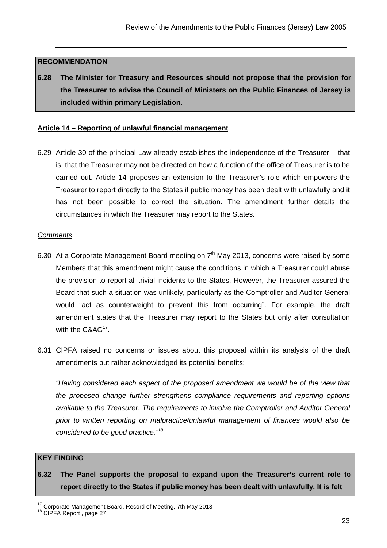#### **RECOMMENDATION**

**6.28 The Minister for Treasury and Resources should not propose that the provision for the Treasurer to advise the Council of Ministers on the Public Finances of Jersey is included within primary Legislation.** 

#### **Article 14 – Reporting of unlawful financial management**

6.29 Article 30 of the principal Law already establishes the independence of the Treasurer – that is, that the Treasurer may not be directed on how a function of the office of Treasurer is to be carried out. Article 14 proposes an extension to the Treasurer's role which empowers the Treasurer to report directly to the States if public money has been dealt with unlawfully and it has not been possible to correct the situation. The amendment further details the circumstances in which the Treasurer may report to the States.

#### **Comments**

- 6.30 At a Corporate Management Board meeting on  $7<sup>th</sup>$  May 2013, concerns were raised by some Members that this amendment might cause the conditions in which a Treasurer could abuse the provision to report all trivial incidents to the States. However, the Treasurer assured the Board that such a situation was unlikely, particularly as the Comptroller and Auditor General would "act as counterweight to prevent this from occurring". For example, the draft amendment states that the Treasurer may report to the States but only after consultation with the  $C&AG<sup>17</sup>$ .
- 6.31 CIPFA raised no concerns or issues about this proposal within its analysis of the draft amendments but rather acknowledged its potential benefits:

"Having considered each aspect of the proposed amendment we would be of the view that the proposed change further strengthens compliance requirements and reporting options available to the Treasurer. The requirements to involve the Comptroller and Auditor General prior to written reporting on malpractice/unlawful management of finances would also be considered to be good practice."<sup>18</sup>

#### **KEY FINDING**

**6.32 The Panel supports the proposal to expand upon the Treasurer's current role to report directly to the States if public money has been dealt with unlawfully. It is felt** 

 $17$  Corporate Management Board, Record of Meeting, 7th May 2013

<sup>&</sup>lt;sup>18</sup> CIPFA Report, page 27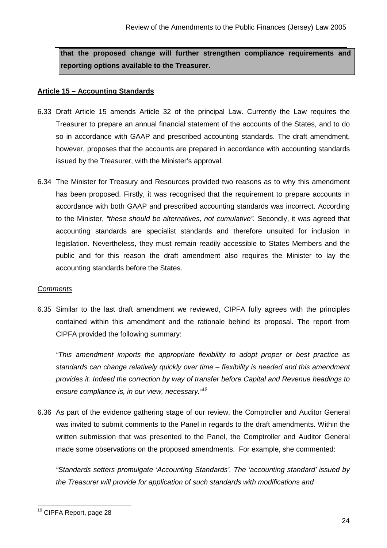**that the proposed change will further strengthen compliance requirements and reporting options available to the Treasurer.** 

#### **Article 15 – Accounting Standards**

- 6.33 Draft Article 15 amends Article 32 of the principal Law. Currently the Law requires the Treasurer to prepare an annual financial statement of the accounts of the States, and to do so in accordance with GAAP and prescribed accounting standards. The draft amendment, however, proposes that the accounts are prepared in accordance with accounting standards issued by the Treasurer, with the Minister's approval.
- 6.34 The Minister for Treasury and Resources provided two reasons as to why this amendment has been proposed. Firstly, it was recognised that the requirement to prepare accounts in accordance with both GAAP and prescribed accounting standards was incorrect. According to the Minister, "these should be alternatives, not cumulative". Secondly, it was agreed that accounting standards are specialist standards and therefore unsuited for inclusion in legislation. Nevertheless, they must remain readily accessible to States Members and the public and for this reason the draft amendment also requires the Minister to lay the accounting standards before the States.

#### **Comments**

6.35 Similar to the last draft amendment we reviewed, CIPFA fully agrees with the principles contained within this amendment and the rationale behind its proposal. The report from CIPFA provided the following summary:

 "This amendment imports the appropriate flexibility to adopt proper or best practice as standards can change relatively quickly over time – flexibility is needed and this amendment provides it. Indeed the correction by way of transfer before Capital and Revenue headings to ensure compliance is, in our view, necessary."<sup>19</sup>

6.36 As part of the evidence gathering stage of our review, the Comptroller and Auditor General was invited to submit comments to the Panel in regards to the draft amendments. Within the written submission that was presented to the Panel, the Comptroller and Auditor General made some observations on the proposed amendments. For example, she commented:

 "Standards setters promulgate 'Accounting Standards'. The 'accounting standard' issued by the Treasurer will provide for application of such standards with modifications and

<sup>&</sup>lt;sup>19</sup> CIPFA Report, page 28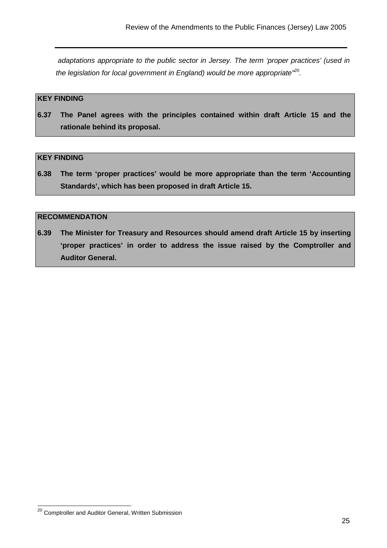adaptations appropriate to the public sector in Jersey. The term 'proper practices' (used in the legislation for local government in England) would be more appropriate<sup>, $20$ </sup>.

#### **KEY FINDING**

**6.37 The Panel agrees with the principles contained within draft Article 15 and the rationale behind its proposal.** 

#### **KEY FINDING**

**6.38 The term 'proper practices' would be more appropriate than the term 'Accounting Standards', which has been proposed in draft Article 15.** 

#### **RECOMMENDATION**

**6.39 The Minister for Treasury and Resources should amend draft Article 15 by inserting 'proper practices' in order to address the issue raised by the Comptroller and Auditor General.** 

 $^{20}$  Comptroller and Auditor General, Written Submission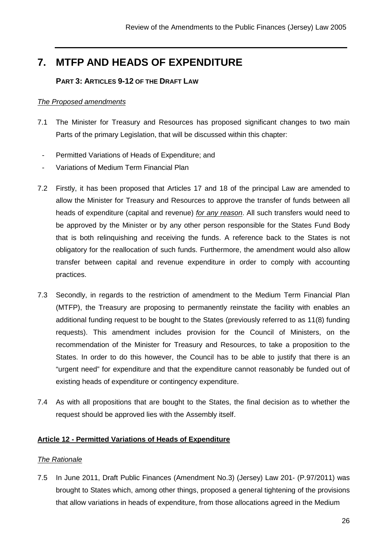## **7. MTFP AND HEADS OF EXPENDITURE**

#### **PART 3: ARTICLES 9-12 OF THE DRAFT LAW**

#### The Proposed amendments

- 7.1 The Minister for Treasury and Resources has proposed significant changes to two main Parts of the primary Legislation, that will be discussed within this chapter:
- Permitted Variations of Heads of Expenditure; and
- Variations of Medium Term Financial Plan
- 7.2 Firstly, it has been proposed that Articles 17 and 18 of the principal Law are amended to allow the Minister for Treasury and Resources to approve the transfer of funds between all heads of expenditure (capital and revenue) for any reason. All such transfers would need to be approved by the Minister or by any other person responsible for the States Fund Body that is both relinquishing and receiving the funds. A reference back to the States is not obligatory for the reallocation of such funds. Furthermore, the amendment would also allow transfer between capital and revenue expenditure in order to comply with accounting practices.
- 7.3 Secondly, in regards to the restriction of amendment to the Medium Term Financial Plan (MTFP), the Treasury are proposing to permanently reinstate the facility with enables an additional funding request to be bought to the States (previously referred to as 11(8) funding requests). This amendment includes provision for the Council of Ministers, on the recommendation of the Minister for Treasury and Resources, to take a proposition to the States. In order to do this however, the Council has to be able to justify that there is an "urgent need" for expenditure and that the expenditure cannot reasonably be funded out of existing heads of expenditure or contingency expenditure.
- 7.4 As with all propositions that are bought to the States, the final decision as to whether the request should be approved lies with the Assembly itself.

#### **Article 12 - Permitted Variations of Heads of Expenditure**

#### The Rationale

7.5 In June 2011, Draft Public Finances (Amendment No.3) (Jersey) Law 201- (P.97/2011) was brought to States which, among other things, proposed a general tightening of the provisions that allow variations in heads of expenditure, from those allocations agreed in the Medium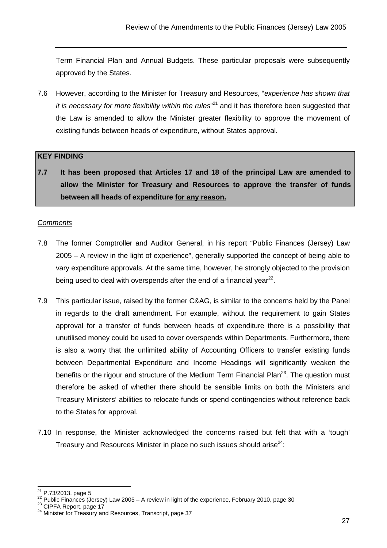Term Financial Plan and Annual Budgets. These particular proposals were subsequently approved by the States.

7.6 However, according to the Minister for Treasury and Resources, "experience has shown that it is necessary for more flexibility within the rules"<sup>21</sup> and it has therefore been suggested that the Law is amended to allow the Minister greater flexibility to approve the movement of existing funds between heads of expenditure, without States approval.

#### **KEY FINDING**

**7.7 It has been proposed that Articles 17 and 18 of the principal Law are amended to allow the Minister for Treasury and Resources to approve the transfer of funds between all heads of expenditure for any reason.**

#### **Comments**

- 7.8 The former Comptroller and Auditor General, in his report "Public Finances (Jersey) Law 2005 – A review in the light of experience", generally supported the concept of being able to vary expenditure approvals. At the same time, however, he strongly objected to the provision being used to deal with overspends after the end of a financial year $^{22}$ .
- 7.9 This particular issue, raised by the former C&AG, is similar to the concerns held by the Panel in regards to the draft amendment. For example, without the requirement to gain States approval for a transfer of funds between heads of expenditure there is a possibility that unutilised money could be used to cover overspends within Departments. Furthermore, there is also a worry that the unlimited ability of Accounting Officers to transfer existing funds between Departmental Expenditure and Income Headings will significantly weaken the benefits or the rigour and structure of the Medium Term Financial Plan<sup>23</sup>. The question must therefore be asked of whether there should be sensible limits on both the Ministers and Treasury Ministers' abilities to relocate funds or spend contingencies without reference back to the States for approval.
- 7.10 In response, the Minister acknowledged the concerns raised but felt that with a 'tough' Treasury and Resources Minister in place no such issues should arise $24$ :

  $^{21}$  P.73/2013, page 5

P. 13/2013, page 3<br>
22 Public Finances (Jersey) Law 2005 – A review in light of the experience, February 2010, page 30

<sup>&</sup>lt;sup>23</sup> CIPFA Report, page 17

<sup>&</sup>lt;sup>24</sup> Minister for Treasury and Resources, Transcript, page 37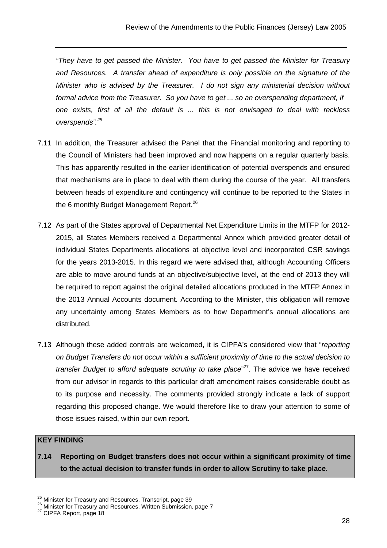"They have to get passed the Minister. You have to get passed the Minister for Treasury and Resources. A transfer ahead of expenditure is only possible on the signature of the Minister who is advised by the Treasurer. I do not sign any ministerial decision without formal advice from the Treasurer. So you have to get ... so an overspending department, if one exists, first of all the default is ... this is not envisaged to deal with reckless overspends".<sup>25</sup>

- 7.11 In addition, the Treasurer advised the Panel that the Financial monitoring and reporting to the Council of Ministers had been improved and now happens on a regular quarterly basis. This has apparently resulted in the earlier identification of potential overspends and ensured that mechanisms are in place to deal with them during the course of the year. All transfers between heads of expenditure and contingency will continue to be reported to the States in the 6 monthly Budget Management Report.<sup>26</sup>
- 7.12 As part of the States approval of Departmental Net Expenditure Limits in the MTFP for 2012- 2015, all States Members received a Departmental Annex which provided greater detail of individual States Departments allocations at objective level and incorporated CSR savings for the years 2013-2015. In this regard we were advised that, although Accounting Officers are able to move around funds at an objective/subjective level, at the end of 2013 they will be required to report against the original detailed allocations produced in the MTFP Annex in the 2013 Annual Accounts document. According to the Minister, this obligation will remove any uncertainty among States Members as to how Department's annual allocations are distributed.
- 7.13 Although these added controls are welcomed, it is CIPFA's considered view that "reporting on Budget Transfers do not occur within a sufficient proximity of time to the actual decision to transfer Budget to afford adequate scrutiny to take place"<sup>27</sup>. The advice we have received from our advisor in regards to this particular draft amendment raises considerable doubt as to its purpose and necessity. The comments provided strongly indicate a lack of support regarding this proposed change. We would therefore like to draw your attention to some of those issues raised, within our own report.

#### **KEY FINDING**

j

**7.14 Reporting on Budget transfers does not occur within a significant proximity of time to the actual decision to transfer funds in order to allow Scrutiny to take place.** 

 $^{25}$  Minister for Treasury and Resources, Transcript, page 39

<sup>26</sup> Minister for Treasury and Resources, Written Submission, page 7

<sup>&</sup>lt;sup>27</sup> CIPFA Report, page 18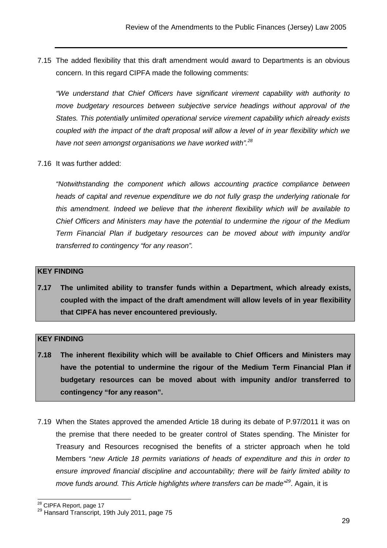7.15 The added flexibility that this draft amendment would award to Departments is an obvious concern. In this regard CIPFA made the following comments:

"We understand that Chief Officers have significant virement capability with authority to move budgetary resources between subjective service headings without approval of the States. This potentially unlimited operational service virement capability which already exists coupled with the impact of the draft proposal will allow a level of in year flexibility which we have not seen amongst organisations we have worked with".<sup>28</sup>

7.16 It was further added:

"Notwithstanding the component which allows accounting practice compliance between heads of capital and revenue expenditure we do not fully grasp the underlying rationale for this amendment. Indeed we believe that the inherent flexibility which will be available to Chief Officers and Ministers may have the potential to undermine the rigour of the Medium Term Financial Plan if budgetary resources can be moved about with impunity and/or transferred to contingency "for any reason".

#### **KEY FINDING**

**7.17 The unlimited ability to transfer funds within a Department, which already exists, coupled with the impact of the draft amendment will allow levels of in year flexibility that CIPFA has never encountered previously.** 

#### **KEY FINDING**

- **7.18 The inherent flexibility which will be available to Chief Officers and Ministers may have the potential to undermine the rigour of the Medium Term Financial Plan if budgetary resources can be moved about with impunity and/or transferred to contingency "for any reason".**
- 7.19 When the States approved the amended Article 18 during its debate of P.97/2011 it was on the premise that there needed to be greater control of States spending. The Minister for Treasury and Resources recognised the benefits of a stricter approach when he told Members "new Article 18 permits variations of heads of expenditure and this in order to ensure improved financial discipline and accountability; there will be fairly limited ability to move funds around. This Article highlights where transfers can be made<sup> $29$ </sup>. Again, it is

 $\overline{\phantom{a}}$ <sup>28</sup> CIPFA Report, page 17

<sup>&</sup>lt;sup>29</sup> Hansard Transcript, 19th July 2011, page 75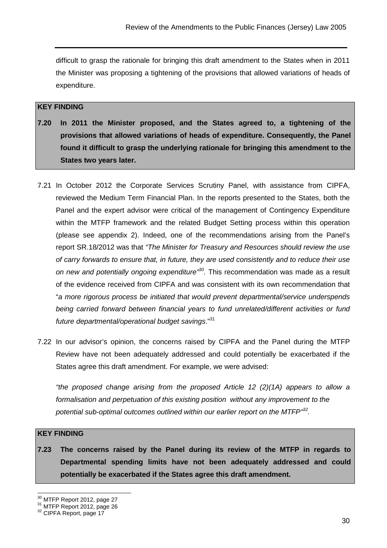difficult to grasp the rationale for bringing this draft amendment to the States when in 2011 the Minister was proposing a tightening of the provisions that allowed variations of heads of expenditure.

#### **KEY FINDING**

- **7.20 In 2011 the Minister proposed, and the States agreed to, a tightening of the provisions that allowed variations of heads of expenditure. Consequently, the Panel found it difficult to grasp the underlying rationale for bringing this amendment to the States two years later.**
- 7.21 In October 2012 the Corporate Services Scrutiny Panel, with assistance from CIPFA, reviewed the Medium Term Financial Plan. In the reports presented to the States, both the Panel and the expert advisor were critical of the management of Contingency Expenditure within the MTFP framework and the related Budget Setting process within this operation (please see appendix 2). Indeed, one of the recommendations arising from the Panel's report SR.18/2012 was that "The Minister for Treasury and Resources should review the use of carry forwards to ensure that, in future, they are used consistently and to reduce their use on new and potentially ongoing expenditure<sup>130</sup>. This recommendation was made as a result of the evidence received from CIPFA and was consistent with its own recommendation that "a more rigorous process be initiated that would prevent departmental/service underspends being carried forward between financial years to fund unrelated/different activities or fund future departmental/operational budget savings."<sup>31</sup>
- 7.22 In our advisor's opinion, the concerns raised by CIPFA and the Panel during the MTFP Review have not been adequately addressed and could potentially be exacerbated if the States agree this draft amendment. For example, we were advised:

 "the proposed change arising from the proposed Article 12 (2)(1A) appears to allow a formalisation and perpetuation of this existing position without any improvement to the potential sub-optimal outcomes outlined within our earlier report on the MTFP $^{332}$ .

#### **KEY FINDING**

j

**7.23 The concerns raised by the Panel during its review of the MTFP in regards to Departmental spending limits have not been adequately addressed and could potentially be exacerbated if the States agree this draft amendment.** 

 $^{30}$  MTFP Report 2012, page 27

<sup>&</sup>lt;sup>31</sup> MTFP Report 2012, page 26

<sup>&</sup>lt;sup>32</sup> CIPFA Report, page 17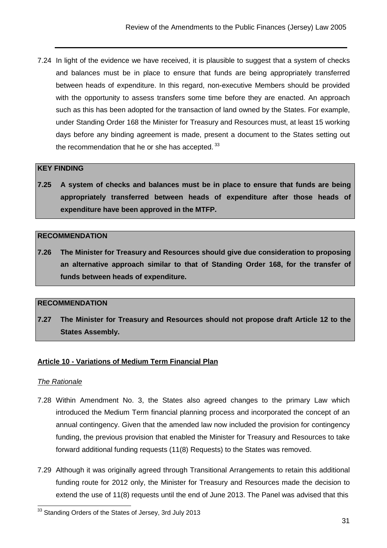7.24 In light of the evidence we have received, it is plausible to suggest that a system of checks and balances must be in place to ensure that funds are being appropriately transferred between heads of expenditure. In this regard, non-executive Members should be provided with the opportunity to assess transfers some time before they are enacted. An approach such as this has been adopted for the transaction of land owned by the States. For example, under Standing Order 168 the Minister for Treasury and Resources must, at least 15 working days before any binding agreement is made, present a document to the States setting out the recommendation that he or she has accepted. $33$ 

#### **KEY FINDING**

**7.25 A system of checks and balances must be in place to ensure that funds are being appropriately transferred between heads of expenditure after those heads of expenditure have been approved in the MTFP.** 

#### **RECOMMENDATION**

**7.26 The Minister for Treasury and Resources should give due consideration to proposing an alternative approach similar to that of Standing Order 168, for the transfer of funds between heads of expenditure.** 

#### **RECOMMENDATION**

**7.27 The Minister for Treasury and Resources should not propose draft Article 12 to the States Assembly.** 

#### **Article 10 - Variations of Medium Term Financial Plan**

#### The Rationale

- 7.28 Within Amendment No. 3, the States also agreed changes to the primary Law which introduced the Medium Term financial planning process and incorporated the concept of an annual contingency. Given that the amended law now included the provision for contingency funding, the previous provision that enabled the Minister for Treasury and Resources to take forward additional funding requests (11(8) Requests) to the States was removed.
- 7.29 Although it was originally agreed through Transitional Arrangements to retain this additional funding route for 2012 only, the Minister for Treasury and Resources made the decision to extend the use of 11(8) requests until the end of June 2013. The Panel was advised that this

 $33$  Standing Orders of the States of Jersey, 3rd July 2013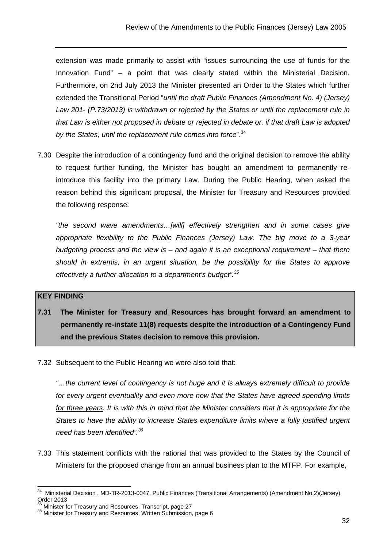extension was made primarily to assist with "issues surrounding the use of funds for the Innovation Fund" – a point that was clearly stated within the Ministerial Decision. Furthermore, on 2nd July 2013 the Minister presented an Order to the States which further extended the Transitional Period "until the draft Public Finances (Amendment No. 4) (Jersey) Law 201- (P.73/2013) is withdrawn or rejected by the States or until the replacement rule in that Law is either not proposed in debate or rejected in debate or, if that draft Law is adopted by the States, until the replacement rule comes into force".<sup>34</sup>

7.30 Despite the introduction of a contingency fund and the original decision to remove the ability to request further funding, the Minister has bought an amendment to permanently reintroduce this facility into the primary Law. During the Public Hearing, when asked the reason behind this significant proposal, the Minister for Treasury and Resources provided the following response:

"the second wave amendments…[will] effectively strengthen and in some cases give appropriate flexibility to the Public Finances (Jersey) Law. The big move to a 3-year budgeting process and the view is – and again it is an exceptional requirement – that there should in extremis, in an urgent situation, be the possibility for the States to approve effectively a further allocation to a department's budget".<sup>35</sup>

#### **KEY FINDING**

- **7.31 The Minister for Treasury and Resources has brought forward an amendment to permanently re-instate 11(8) requests despite the introduction of a Contingency Fund and the previous States decision to remove this provision.**
- 7.32 Subsequent to the Public Hearing we were also told that:

"…the current level of contingency is not huge and it is always extremely difficult to provide for every urgent eventuality and even more now that the States have agreed spending limits for three years. It is with this in mind that the Minister considers that it is appropriate for the States to have the ability to increase States expenditure limits where a fully justified urgent need has been identified".<sup>36</sup>

7.33 This statement conflicts with the rational that was provided to the States by the Council of Ministers for the proposed change from an annual business plan to the MTFP. For example,

 $34$ <sup>34</sup> Ministerial Decision , MD-TR-2013-0047, Public Finances (Transitional Arrangements) (Amendment No.2)(Jersey) Order 2013

<sup>35</sup> Minister for Treasury and Resources, Transcript, page 27

<sup>36</sup> Minister for Treasury and Resources, Written Submission, page 6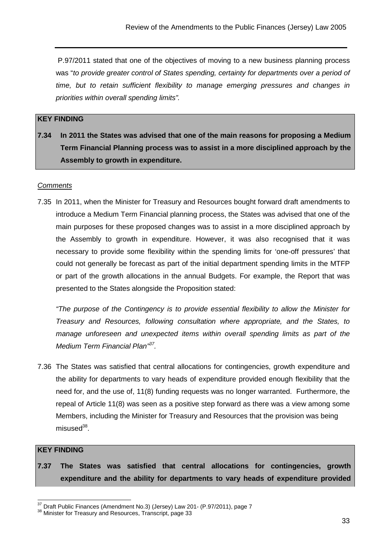P.97/2011 stated that one of the objectives of moving to a new business planning process was "to provide greater control of States spending, certainty for departments over a period of time, but to retain sufficient flexibility to manage emerging pressures and changes in priorities within overall spending limits".

#### **KEY FINDING**

**7.34 In 2011 the States was advised that one of the main reasons for proposing a Medium Term Financial Planning process was to assist in a more disciplined approach by the Assembly to growth in expenditure.** 

#### **Comments**

7.35 In 2011, when the Minister for Treasury and Resources bought forward draft amendments to introduce a Medium Term Financial planning process, the States was advised that one of the main purposes for these proposed changes was to assist in a more disciplined approach by the Assembly to growth in expenditure. However, it was also recognised that it was necessary to provide some flexibility within the spending limits for 'one-off pressures' that could not generally be forecast as part of the initial department spending limits in the MTFP or part of the growth allocations in the annual Budgets. For example, the Report that was presented to the States alongside the Proposition stated:

"The purpose of the Contingency is to provide essential flexibility to allow the Minister for Treasury and Resources, following consultation where appropriate, and the States, to manage unforeseen and unexpected items within overall spending limits as part of the Medium Term Financial Plan"<sup>37</sup>.

7.36 The States was satisfied that central allocations for contingencies, growth expenditure and the ability for departments to vary heads of expenditure provided enough flexibility that the need for, and the use of, 11(8) funding requests was no longer warranted. Furthermore, the repeal of Article 11(8) was seen as a positive step forward as there was a view among some Members, including the Minister for Treasury and Resources that the provision was being misused<sup>38</sup>.

#### **KEY FINDING**

**7.37 The States was satisfied that central allocations for contingencies, growth expenditure and the ability for departments to vary heads of expenditure provided** 

 $37$  Draft Public Finances (Amendment No.3) (Jersey) Law 201- (P.97/2011), page 7

<sup>38</sup> Minister for Treasury and Resources, Transcript, page 33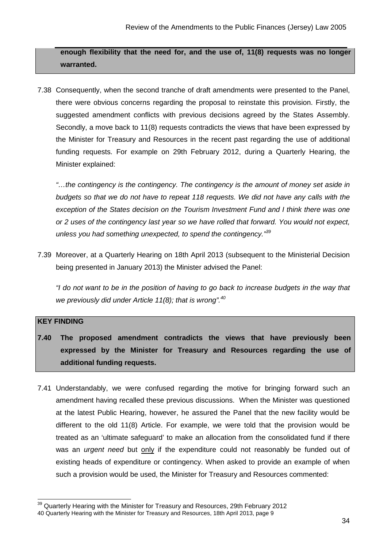**enough flexibility that the need for, and the use of, 11(8) requests was no longer warranted.** 

7.38 Consequently, when the second tranche of draft amendments were presented to the Panel, there were obvious concerns regarding the proposal to reinstate this provision. Firstly, the suggested amendment conflicts with previous decisions agreed by the States Assembly. Secondly, a move back to 11(8) requests contradicts the views that have been expressed by the Minister for Treasury and Resources in the recent past regarding the use of additional funding requests. For example on 29th February 2012, during a Quarterly Hearing, the Minister explained:

"…the contingency is the contingency. The contingency is the amount of money set aside in budgets so that we do not have to repeat 118 requests. We did not have any calls with the exception of the States decision on the Tourism Investment Fund and I think there was one or 2 uses of the contingency last year so we have rolled that forward. You would not expect, unless you had something unexpected, to spend the contingency."39

7.39 Moreover, at a Quarterly Hearing on 18th April 2013 (subsequent to the Ministerial Decision being presented in January 2013) the Minister advised the Panel:

"I do not want to be in the position of having to go back to increase budgets in the way that we previously did under Article 11(8); that is wrong". $40$ 

# **KEY FINDING**

 $\overline{\phantom{a}}$ 

- **7.40 The proposed amendment contradicts the views that have previously been expressed by the Minister for Treasury and Resources regarding the use of additional funding requests.**
- 7.41 Understandably, we were confused regarding the motive for bringing forward such an amendment having recalled these previous discussions. When the Minister was questioned at the latest Public Hearing, however, he assured the Panel that the new facility would be different to the old 11(8) Article. For example, we were told that the provision would be treated as an 'ultimate safeguard' to make an allocation from the consolidated fund if there was an *urgent need* but only if the expenditure could not reasonably be funded out of existing heads of expenditure or contingency. When asked to provide an example of when such a provision would be used, the Minister for Treasury and Resources commented:

 $39$  Quarterly Hearing with the Minister for Treasury and Resources, 29th February 2012 40 Quarterly Hearing with the Minister for Treasury and Resources, 18th April 2013, page 9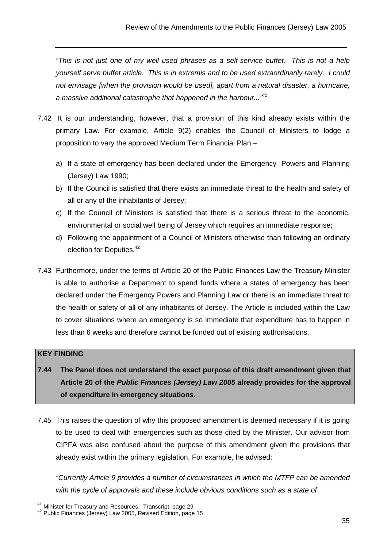"This is not just one of my well used phrases as a self-service buffet. This is not a help yourself serve buffet article. This is in extremis and to be used extraordinarily rarely. I could not envisage [when the provision would be used], apart from a natural disaster, a hurricane, a massive additional catastrophe that happened in the harbour..."<sup>41</sup>

- 7.42 It is our understanding, however, that a provision of this kind already exists within the primary Law. For example, Article 9(2) enables the Council of Ministers to lodge a proposition to vary the approved Medium Term Financial Plan –
	- a) If a state of emergency has been declared under the Emergency Powers and Planning (Jersey) Law 1990;
	- b) If the Council is satisfied that there exists an immediate threat to the health and safety of all or any of the inhabitants of Jersey;
	- c) If the Council of Ministers is satisfied that there is a serious threat to the economic, environmental or social well being of Jersey which requires an immediate response;
	- d) Following the appointment of a Council of Ministers otherwise than following an ordinary election for Deputies.<sup>42</sup>
- 7.43 Furthermore, under the terms of Article 20 of the Public Finances Law the Treasury Minister is able to authorise a Department to spend funds where a states of emergency has been declared under the Emergency Powers and Planning Law or there is an immediate threat to the health or safety of all of any inhabitants of Jersey. The Article is included within the Law to cover situations where an emergency is so immediate that expenditure has to happen in less than 6 weeks and therefore cannot be funded out of existing authorisations.

# **KEY FINDING**

- **7.44 The Panel does not understand the exact purpose of this draft amendment given that Article 20 of the Public Finances (Jersey) Law 2005 already provides for the approval of expenditure in emergency situations.**
- 7.45 This raises the question of why this proposed amendment is deemed necessary if it is going to be used to deal with emergencies such as those cited by the Minister. Our advisor from CIPFA was also confused about the purpose of this amendment given the provisions that already exist within the primary legislation. For example, he advised:

"Currently Article 9 provides a number of circumstances in which the MTFP can be amended with the cycle of approvals and these include obvious conditions such as a state of

<sup>&</sup>lt;sup>41</sup> Minister for Treasury and Resources, Transcript, page 29

<sup>42</sup> Public Finances (Jersey) Law 2005, Revised Edition, page 15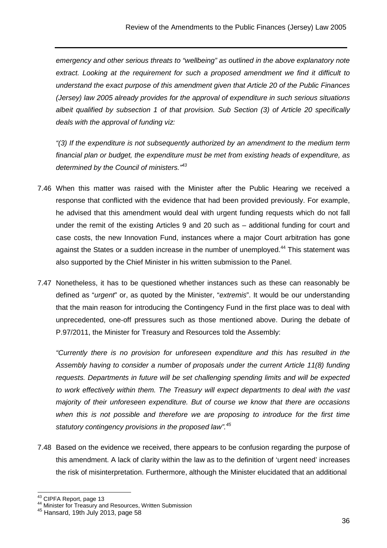emergency and other serious threats to "wellbeing" as outlined in the above explanatory note extract. Looking at the requirement for such a proposed amendment we find it difficult to understand the exact purpose of this amendment given that Article 20 of the Public Finances (Jersey) law 2005 already provides for the approval of expenditure in such serious situations albeit qualified by subsection 1 of that provision. Sub Section (3) of Article 20 specifically deals with the approval of funding viz:

"(3) If the expenditure is not subsequently authorized by an amendment to the medium term financial plan or budget, the expenditure must be met from existing heads of expenditure, as determined by the Council of ministers.<sup>"43</sup>

- 7.46 When this matter was raised with the Minister after the Public Hearing we received a response that conflicted with the evidence that had been provided previously. For example, he advised that this amendment would deal with urgent funding requests which do not fall under the remit of the existing Articles 9 and 20 such as – additional funding for court and case costs, the new Innovation Fund, instances where a major Court arbitration has gone against the States or a sudden increase in the number of unemployed.<sup>44</sup> This statement was also supported by the Chief Minister in his written submission to the Panel.
- 7.47 Nonetheless, it has to be questioned whether instances such as these can reasonably be defined as "urgent" or, as quoted by the Minister, "extremis". It would be our understanding that the main reason for introducing the Contingency Fund in the first place was to deal with unprecedented, one-off pressures such as those mentioned above. During the debate of P.97/2011, the Minister for Treasury and Resources told the Assembly:

"Currently there is no provision for unforeseen expenditure and this has resulted in the Assembly having to consider a number of proposals under the current Article 11(8) funding requests. Departments in future will be set challenging spending limits and will be expected to work effectively within them. The Treasury will expect departments to deal with the vast majority of their unforeseen expenditure. But of course we know that there are occasions when this is not possible and therefore we are proposing to introduce for the first time statutory contingency provisions in the proposed law".<sup>45</sup>

7.48 Based on the evidence we received, there appears to be confusion regarding the purpose of this amendment. A lack of clarity within the law as to the definition of 'urgent need' increases the risk of misinterpretation. Furthermore, although the Minister elucidated that an additional

<sup>&</sup>lt;sup>43</sup> CIPFA Report, page 13

<sup>44</sup> Minister for Treasury and Resources, Written Submission

 $45$  Hansard, 19th July 2013, page 58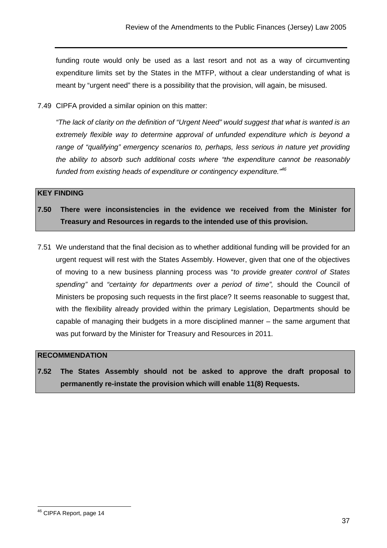funding route would only be used as a last resort and not as a way of circumventing expenditure limits set by the States in the MTFP, without a clear understanding of what is meant by "urgent need" there is a possibility that the provision, will again, be misused.

7.49 CIPFA provided a similar opinion on this matter:

"The lack of clarity on the definition of "Urgent Need" would suggest that what is wanted is an extremely flexible way to determine approval of unfunded expenditure which is beyond a range of "qualifying" emergency scenarios to, perhaps, less serious in nature yet providing the ability to absorb such additional costs where "the expenditure cannot be reasonably funded from existing heads of expenditure or contingency expenditure."<sup>46</sup>

#### **KEY FINDING**

**7.50 There were inconsistencies in the evidence we received from the Minister for Treasury and Resources in regards to the intended use of this provision.** 

7.51 We understand that the final decision as to whether additional funding will be provided for an urgent request will rest with the States Assembly. However, given that one of the objectives of moving to a new business planning process was "to provide greater control of States spending" and "certainty for departments over a period of time", should the Council of Ministers be proposing such requests in the first place? It seems reasonable to suggest that, with the flexibility already provided within the primary Legislation, Departments should be capable of managing their budgets in a more disciplined manner – the same argument that was put forward by the Minister for Treasury and Resources in 2011.

#### **RECOMMENDATION**

**7.52 The States Assembly should not be asked to approve the draft proposal to permanently re-instate the provision which will enable 11(8) Requests.** 

 <sup>46</sup> CIPFA Report, page 14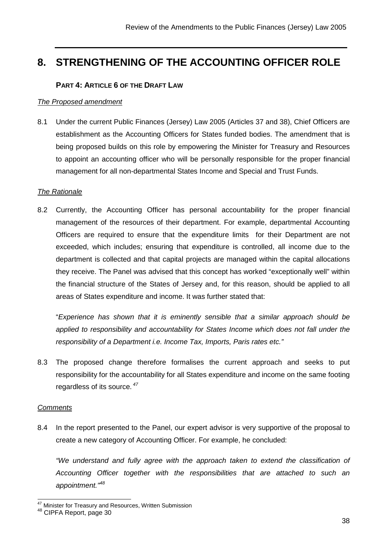# **8. STRENGTHENING OF THE ACCOUNTING OFFICER ROLE**

# **PART 4: ARTICLE 6 OF THE DRAFT LAW**

#### The Proposed amendment

8.1 Under the current Public Finances (Jersey) Law 2005 (Articles 37 and 38), Chief Officers are establishment as the Accounting Officers for States funded bodies. The amendment that is being proposed builds on this role by empowering the Minister for Treasury and Resources to appoint an accounting officer who will be personally responsible for the proper financial management for all non-departmental States Income and Special and Trust Funds.

#### The Rationale

8.2 Currently, the Accounting Officer has personal accountability for the proper financial management of the resources of their department. For example, departmental Accounting Officers are required to ensure that the expenditure limits for their Department are not exceeded, which includes; ensuring that expenditure is controlled, all income due to the department is collected and that capital projects are managed within the capital allocations they receive. The Panel was advised that this concept has worked "exceptionally well" within the financial structure of the States of Jersey and, for this reason, should be applied to all areas of States expenditure and income. It was further stated that:

 "Experience has shown that it is eminently sensible that a similar approach should be applied to responsibility and accountability for States Income which does not fall under the responsibility of a Department i.e. Income Tax, Imports, Paris rates etc."

8.3 The proposed change therefore formalises the current approach and seeks to put responsibility for the accountability for all States expenditure and income on the same footing regardless of its source.<sup>47</sup>

#### **Comments**

 $\overline{\phantom{a}}$ 

8.4 In the report presented to the Panel, our expert advisor is very supportive of the proposal to create a new category of Accounting Officer. For example, he concluded:

"We understand and fully agree with the approach taken to extend the classification of Accounting Officer together with the responsibilities that are attached to such an appointment.<sup>"48</sup>

<sup>&</sup>lt;sup>47</sup> Minister for Treasury and Resources, Written Submission

<sup>48</sup> CIPFA Report, page 30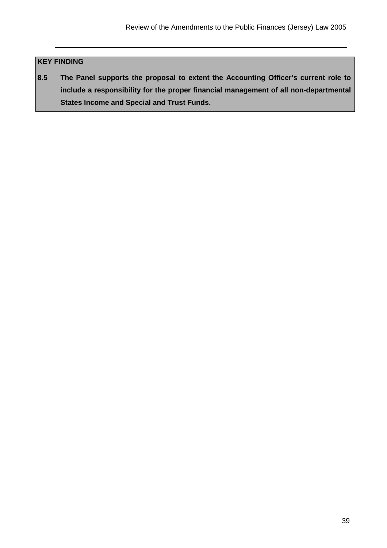# **KEY FINDING**

**8.5 The Panel supports the proposal to extent the Accounting Officer's current role to include a responsibility for the proper financial management of all non-departmental States Income and Special and Trust Funds.**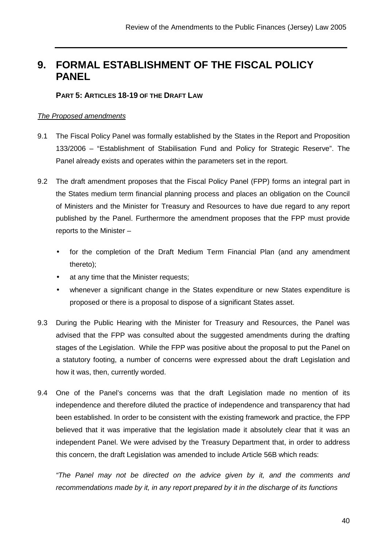# **9. FORMAL ESTABLISHMENT OF THE FISCAL POLICY PANEL**

# **PART 5: ARTICLES 18-19 OF THE DRAFT LAW**

#### The Proposed amendments

- 9.1 The Fiscal Policy Panel was formally established by the States in the Report and Proposition 133/2006 – "Establishment of Stabilisation Fund and Policy for Strategic Reserve". The Panel already exists and operates within the parameters set in the report.
- 9.2 The draft amendment proposes that the Fiscal Policy Panel (FPP) forms an integral part in the States medium term financial planning process and places an obligation on the Council of Ministers and the Minister for Treasury and Resources to have due regard to any report published by the Panel. Furthermore the amendment proposes that the FPP must provide reports to the Minister –
	- for the completion of the Draft Medium Term Financial Plan (and any amendment thereto);
	- at any time that the Minister requests;
	- whenever a significant change in the States expenditure or new States expenditure is proposed or there is a proposal to dispose of a significant States asset.
- 9.3 During the Public Hearing with the Minister for Treasury and Resources, the Panel was advised that the FPP was consulted about the suggested amendments during the drafting stages of the Legislation. While the FPP was positive about the proposal to put the Panel on a statutory footing, a number of concerns were expressed about the draft Legislation and how it was, then, currently worded.
- 9.4 One of the Panel's concerns was that the draft Legislation made no mention of its independence and therefore diluted the practice of independence and transparency that had been established. In order to be consistent with the existing framework and practice, the FPP believed that it was imperative that the legislation made it absolutely clear that it was an independent Panel. We were advised by the Treasury Department that, in order to address this concern, the draft Legislation was amended to include Article 56B which reads:

"The Panel may not be directed on the advice given by it, and the comments and recommendations made by it, in any report prepared by it in the discharge of its functions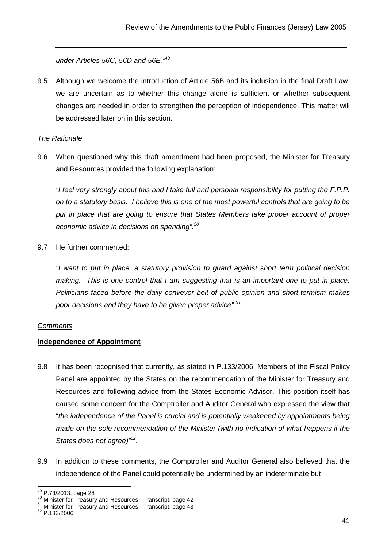under Articles 56C, 56D and 56E.<sup>"49</sup>

9.5 Although we welcome the introduction of Article 56B and its inclusion in the final Draft Law, we are uncertain as to whether this change alone is sufficient or whether subsequent changes are needed in order to strengthen the perception of independence. This matter will be addressed later on in this section.

#### **The Rationale**

9.6 When questioned why this draft amendment had been proposed, the Minister for Treasury and Resources provided the following explanation:

"I feel very strongly about this and I take full and personal responsibility for putting the F.P.P. on to a statutory basis. I believe this is one of the most powerful controls that are going to be put in place that are going to ensure that States Members take proper account of proper economic advice in decisions on spending".<sup>50</sup>

9.7 He further commented:

"I want to put in place, a statutory provision to guard against short term political decision making. This is one control that I am suggesting that is an important one to put in place. Politicians faced before the daily conveyor belt of public opinion and short-termism makes poor decisions and they have to be given proper advice".<sup>51</sup>

#### **Comments**

#### **Independence of Appointment**

- 9.8 It has been recognised that currently, as stated in P.133/2006, Members of the Fiscal Policy Panel are appointed by the States on the recommendation of the Minister for Treasury and Resources and following advice from the States Economic Advisor. This position itself has caused some concern for the Comptroller and Auditor General who expressed the view that "the independence of the Panel is crucial and is potentially weakened by appointments being made on the sole recommendation of the Minister (with no indication of what happens if the States does not agree)<sup>,52</sup>.
- 9.9 In addition to these comments, the Comptroller and Auditor General also believed that the independence of the Panel could potentially be undermined by an indeterminate but

  $^{49}$  P.73/2013, page 28

 $50$  Minister for Treasury and Resources, Transcript, page 42

<sup>51</sup> Minister for Treasury and Resources, Transcript, page 43

<sup>52</sup> P.133/2006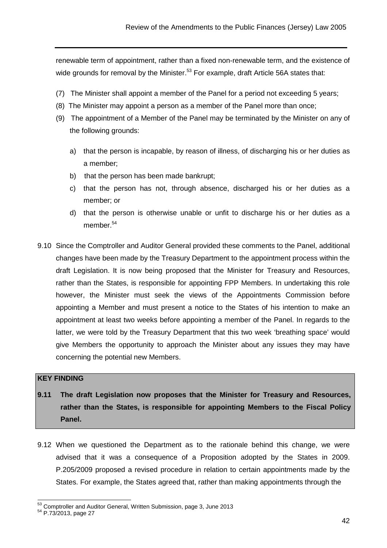renewable term of appointment, rather than a fixed non-renewable term, and the existence of wide grounds for removal by the Minister.<sup>53</sup> For example, draft Article 56A states that:

- (7) The Minister shall appoint a member of the Panel for a period not exceeding 5 years;
- (8) The Minister may appoint a person as a member of the Panel more than once;
- (9) The appointment of a Member of the Panel may be terminated by the Minister on any of the following grounds:
	- a) that the person is incapable, by reason of illness, of discharging his or her duties as a member;
	- b) that the person has been made bankrupt;
	- c) that the person has not, through absence, discharged his or her duties as a member; or
	- d) that the person is otherwise unable or unfit to discharge his or her duties as a member.<sup>54</sup>
- 9.10 Since the Comptroller and Auditor General provided these comments to the Panel, additional changes have been made by the Treasury Department to the appointment process within the draft Legislation. It is now being proposed that the Minister for Treasury and Resources, rather than the States, is responsible for appointing FPP Members. In undertaking this role however, the Minister must seek the views of the Appointments Commission before appointing a Member and must present a notice to the States of his intention to make an appointment at least two weeks before appointing a member of the Panel. In regards to the latter, we were told by the Treasury Department that this two week 'breathing space' would give Members the opportunity to approach the Minister about any issues they may have concerning the potential new Members.

#### **KEY FINDING**

- **9.11 The draft Legislation now proposes that the Minister for Treasury and Resources, rather than the States, is responsible for appointing Members to the Fiscal Policy Panel.**
- 9.12 When we questioned the Department as to the rationale behind this change, we were advised that it was a consequence of a Proposition adopted by the States in 2009. P.205/2009 proposed a revised procedure in relation to certain appointments made by the States. For example, the States agreed that, rather than making appointments through the

 $53$  Comptroller and Auditor General, Written Submission, page 3, June 2013

<sup>54</sup> P.73/2013, page 27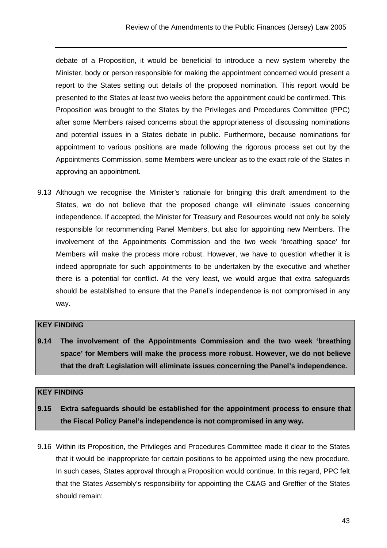debate of a Proposition, it would be beneficial to introduce a new system whereby the Minister, body or person responsible for making the appointment concerned would present a report to the States setting out details of the proposed nomination. This report would be presented to the States at least two weeks before the appointment could be confirmed. This Proposition was brought to the States by the Privileges and Procedures Committee (PPC) after some Members raised concerns about the appropriateness of discussing nominations and potential issues in a States debate in public. Furthermore, because nominations for appointment to various positions are made following the rigorous process set out by the Appointments Commission, some Members were unclear as to the exact role of the States in approving an appointment.

9.13 Although we recognise the Minister's rationale for bringing this draft amendment to the States, we do not believe that the proposed change will eliminate issues concerning independence. If accepted, the Minister for Treasury and Resources would not only be solely responsible for recommending Panel Members, but also for appointing new Members. The involvement of the Appointments Commission and the two week 'breathing space' for Members will make the process more robust. However, we have to question whether it is indeed appropriate for such appointments to be undertaken by the executive and whether there is a potential for conflict. At the very least, we would argue that extra safeguards should be established to ensure that the Panel's independence is not compromised in any way.

# **KEY FINDING**

**9.14 The involvement of the Appointments Commission and the two week 'breathing space' for Members will make the process more robust. However, we do not believe that the draft Legislation will eliminate issues concerning the Panel's independence.** 

#### **KEY FINDING**

- **9.15 Extra safeguards should be established for the appointment process to ensure that the Fiscal Policy Panel's independence is not compromised in any way.**
- 9.16 Within its Proposition, the Privileges and Procedures Committee made it clear to the States that it would be inappropriate for certain positions to be appointed using the new procedure. In such cases, States approval through a Proposition would continue. In this regard, PPC felt that the States Assembly's responsibility for appointing the C&AG and Greffier of the States should remain: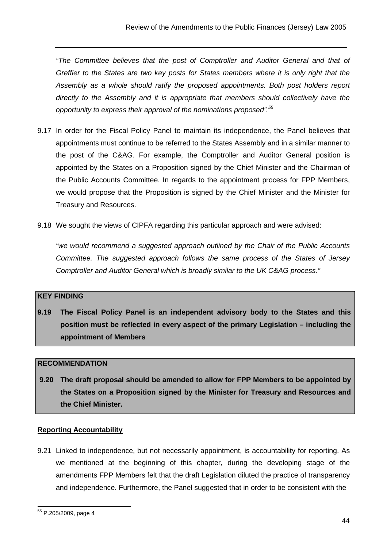"The Committee believes that the post of Comptroller and Auditor General and that of Greffier to the States are two key posts for States members where it is only right that the Assembly as a whole should ratify the proposed appointments. Both post holders report directly to the Assembly and it is appropriate that members should collectively have the opportunity to express their approval of the nominations proposed".<sup>55</sup>

- 9.17 In order for the Fiscal Policy Panel to maintain its independence, the Panel believes that appointments must continue to be referred to the States Assembly and in a similar manner to the post of the C&AG. For example, the Comptroller and Auditor General position is appointed by the States on a Proposition signed by the Chief Minister and the Chairman of the Public Accounts Committee. In regards to the appointment process for FPP Members, we would propose that the Proposition is signed by the Chief Minister and the Minister for Treasury and Resources.
- 9.18 We sought the views of CIPFA regarding this particular approach and were advised:

"we would recommend a suggested approach outlined by the Chair of the Public Accounts Committee. The suggested approach follows the same process of the States of Jersey Comptroller and Auditor General which is broadly similar to the UK C&AG process."

# **KEY FINDING**

**9.19 The Fiscal Policy Panel is an independent advisory body to the States and this position must be reflected in every aspect of the primary Legislation – including the appointment of Members** 

#### **RECOMMENDATION**

 **9.20 The draft proposal should be amended to allow for FPP Members to be appointed by the States on a Proposition signed by the Minister for Treasury and Resources and the Chief Minister.** 

#### **Reporting Accountability**

9.21 Linked to independence, but not necessarily appointment, is accountability for reporting. As we mentioned at the beginning of this chapter, during the developing stage of the amendments FPP Members felt that the draft Legislation diluted the practice of transparency and independence. Furthermore, the Panel suggested that in order to be consistent with the

<sup>&</sup>lt;sup>55</sup> P.205/2009, page 4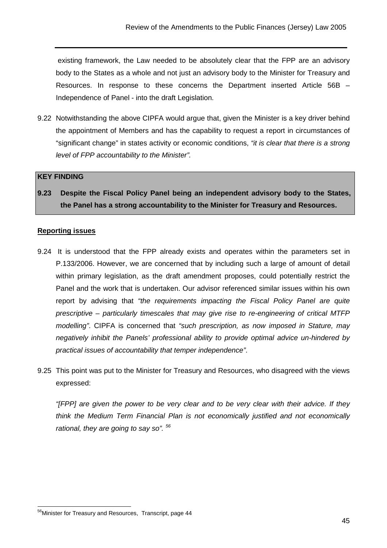existing framework, the Law needed to be absolutely clear that the FPP are an advisory body to the States as a whole and not just an advisory body to the Minister for Treasury and Resources. In response to these concerns the Department inserted Article 56B – Independence of Panel - into the draft Legislation.

9.22 Notwithstanding the above CIPFA would argue that, given the Minister is a key driver behind the appointment of Members and has the capability to request a report in circumstances of "significant change" in states activity or economic conditions, "it is clear that there is a strong level of FPP accountability to the Minister".

#### **KEY FINDING**

**9.23 Despite the Fiscal Policy Panel being an independent advisory body to the States, the Panel has a strong accountability to the Minister for Treasury and Resources.** 

#### **Reporting issues**

- 9.24 It is understood that the FPP already exists and operates within the parameters set in P.133/2006. However, we are concerned that by including such a large of amount of detail within primary legislation, as the draft amendment proposes, could potentially restrict the Panel and the work that is undertaken. Our advisor referenced similar issues within his own report by advising that "the requirements impacting the Fiscal Policy Panel are quite prescriptive – particularly timescales that may give rise to re-engineering of critical MTFP modelling". CIPFA is concerned that "such prescription, as now imposed in Stature, may negatively inhibit the Panels' professional ability to provide optimal advice un-hindered by practical issues of accountability that temper independence".
- 9.25 This point was put to the Minister for Treasury and Resources, who disagreed with the views expressed:

"[FPP] are given the power to be very clear and to be very clear with their advice. If they think the Medium Term Financial Plan is not economically justified and not economically rational, they are going to say so".  $56$ 

 <sup>56</sup>Minister for Treasury and Resources, Transcript, page 44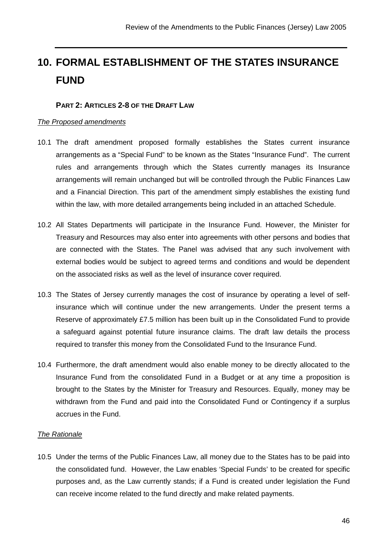# **10. FORMAL ESTABLISHMENT OF THE STATES INSURANCE FUND**

# **PART 2: ARTICLES 2-8 OF THE DRAFT LAW**

#### The Proposed amendments

- 10.1 The draft amendment proposed formally establishes the States current insurance arrangements as a "Special Fund" to be known as the States "Insurance Fund". The current rules and arrangements through which the States currently manages its Insurance arrangements will remain unchanged but will be controlled through the Public Finances Law and a Financial Direction. This part of the amendment simply establishes the existing fund within the law, with more detailed arrangements being included in an attached Schedule.
- 10.2 All States Departments will participate in the Insurance Fund. However, the Minister for Treasury and Resources may also enter into agreements with other persons and bodies that are connected with the States. The Panel was advised that any such involvement with external bodies would be subject to agreed terms and conditions and would be dependent on the associated risks as well as the level of insurance cover required.
- 10.3 The States of Jersey currently manages the cost of insurance by operating a level of selfinsurance which will continue under the new arrangements. Under the present terms a Reserve of approximately £7.5 million has been built up in the Consolidated Fund to provide a safeguard against potential future insurance claims. The draft law details the process required to transfer this money from the Consolidated Fund to the Insurance Fund.
- 10.4 Furthermore, the draft amendment would also enable money to be directly allocated to the Insurance Fund from the consolidated Fund in a Budget or at any time a proposition is brought to the States by the Minister for Treasury and Resources. Equally, money may be withdrawn from the Fund and paid into the Consolidated Fund or Contingency if a surplus accrues in the Fund.

#### The Rationale

10.5 Under the terms of the Public Finances Law, all money due to the States has to be paid into the consolidated fund. However, the Law enables 'Special Funds' to be created for specific purposes and, as the Law currently stands; if a Fund is created under legislation the Fund can receive income related to the fund directly and make related payments.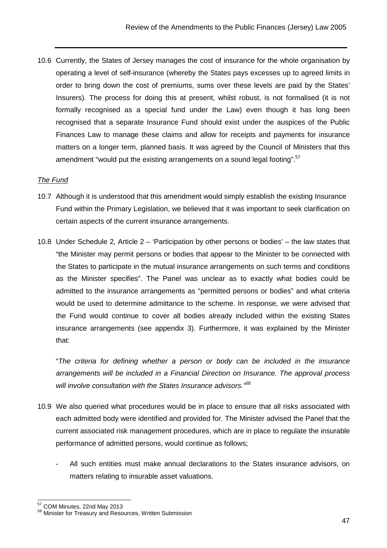10.6 Currently, the States of Jersey manages the cost of insurance for the whole organisation by operating a level of self-insurance (whereby the States pays excesses up to agreed limits in order to bring down the cost of premiums, sums over these levels are paid by the States' Insurers). The process for doing this at present, whilst robust, is not formalised (it is not formally recognised as a special fund under the Law) even though it has long been recognised that a separate Insurance Fund should exist under the auspices of the Public Finances Law to manage these claims and allow for receipts and payments for insurance matters on a longer term, planned basis. It was agreed by the Council of Ministers that this amendment "would put the existing arrangements on a sound legal footing".<sup>57</sup>

# The Fund

- 10.7 Although it is understood that this amendment would simply establish the existing Insurance Fund within the Primary Legislation, we believed that it was important to seek clarification on certain aspects of the current insurance arrangements.
- 10.8 Under Schedule 2, Article 2 'Participation by other persons or bodies' the law states that "the Minister may permit persons or bodies that appear to the Minister to be connected with the States to participate in the mutual insurance arrangements on such terms and conditions as the Minister specifies". The Panel was unclear as to exactly what bodies could be admitted to the insurance arrangements as "permitted persons or bodies" and what criteria would be used to determine admittance to the scheme. In response, we were advised that the Fund would continue to cover all bodies already included within the existing States insurance arrangements (see appendix 3). Furthermore, it was explained by the Minister that:

 "The criteria for defining whether a person or body can be included in the insurance arrangements will be included in a Financial Direction on Insurance. The approval process will involve consultation with the States Insurance advisors."<sup>58</sup>

- 10.9 We also queried what procedures would be in place to ensure that all risks associated with each admitted body were identified and provided for. The Minister advised the Panel that the current associated risk management procedures, which are in place to regulate the insurable performance of admitted persons, would continue as follows;
	- All such entities must make annual declarations to the States insurance advisors, on matters relating to insurable asset valuations.

 <sup>57</sup> COM Minutes, 22nd May 2013

<sup>58</sup> Minister for Treasury and Resources, Written Submission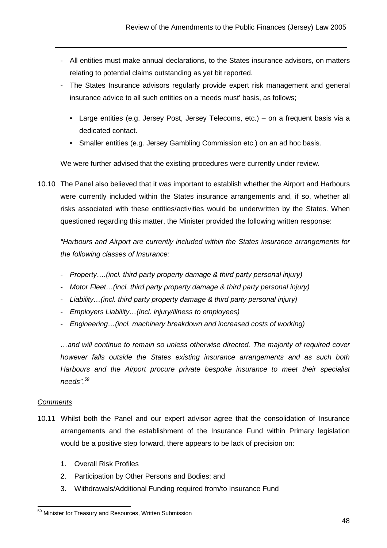- All entities must make annual declarations, to the States insurance advisors, on matters relating to potential claims outstanding as yet bit reported.
- The States Insurance advisors regularly provide expert risk management and general insurance advice to all such entities on a 'needs must' basis, as follows;
	- Large entities (e.g. Jersey Post, Jersey Telecoms, etc.) on a frequent basis via a dedicated contact.
	- Smaller entities (e.g. Jersey Gambling Commission etc.) on an ad hoc basis.

We were further advised that the existing procedures were currently under review.

10.10 The Panel also believed that it was important to establish whether the Airport and Harbours were currently included within the States insurance arrangements and, if so, whether all risks associated with these entities/activities would be underwritten by the States. When questioned regarding this matter, the Minister provided the following written response:

"Harbours and Airport are currently included within the States insurance arrangements for the following classes of Insurance:

- Property….(incl. third party property damage & third party personal injury)
- Motor Fleet... (incl. third party property damage & third party personal injury)
- Liability…(incl. third party property damage & third party personal injury)
- Employers Liability...(incl. injury/illness to employees)
- Engineering…(incl. machinery breakdown and increased costs of working)

…and will continue to remain so unless otherwise directed. The majority of required cover however falls outside the States existing insurance arrangements and as such both Harbours and the Airport procure private bespoke insurance to meet their specialist needs".<sup>59</sup>

# **Comments**

- 10.11 Whilst both the Panel and our expert advisor agree that the consolidation of Insurance arrangements and the establishment of the Insurance Fund within Primary legislation would be a positive step forward, there appears to be lack of precision on:
	- 1. Overall Risk Profiles
	- 2. Participation by Other Persons and Bodies; and
	- 3. Withdrawals/Additional Funding required from/to Insurance Fund

 <sup>59</sup> Minister for Treasury and Resources, Written Submission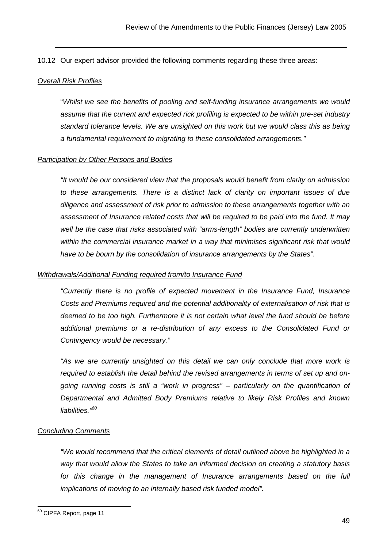10.12 Our expert advisor provided the following comments regarding these three areas:

#### Overall Risk Profiles

"Whilst we see the benefits of pooling and self-funding insurance arrangements we would assume that the current and expected rick profiling is expected to be within pre-set industry standard tolerance levels. We are unsighted on this work but we would class this as being a fundamental requirement to migrating to these consolidated arrangements."

#### **Participation by Other Persons and Bodies**

"It would be our considered view that the proposals would benefit from clarity on admission to these arrangements. There is a distinct lack of clarity on important issues of due diligence and assessment of risk prior to admission to these arrangements together with an assessment of Insurance related costs that will be required to be paid into the fund. It may well be the case that risks associated with "arms-length" bodies are currently underwritten within the commercial insurance market in a way that minimises significant risk that would have to be bourn by the consolidation of insurance arrangements by the States".

#### Withdrawals/Additional Funding required from/to Insurance Fund

"Currently there is no profile of expected movement in the Insurance Fund, Insurance Costs and Premiums required and the potential additionality of externalisation of risk that is deemed to be too high. Furthermore it is not certain what level the fund should be before additional premiums or a re-distribution of any excess to the Consolidated Fund or Contingency would be necessary."

"As we are currently unsighted on this detail we can only conclude that more work is required to establish the detail behind the revised arrangements in terms of set up and ongoing running costs is still a "work in progress" – particularly on the quantification of Departmental and Admitted Body Premiums relative to likely Risk Profiles and known liabilities."<sup>60</sup>

#### Concluding Comments

"We would recommend that the critical elements of detail outlined above be highlighted in a way that would allow the States to take an informed decision on creating a statutory basis for this change in the management of Insurance arrangements based on the full implications of moving to an internally based risk funded model".

<sup>&</sup>lt;sup>60</sup> CIPFA Report, page 11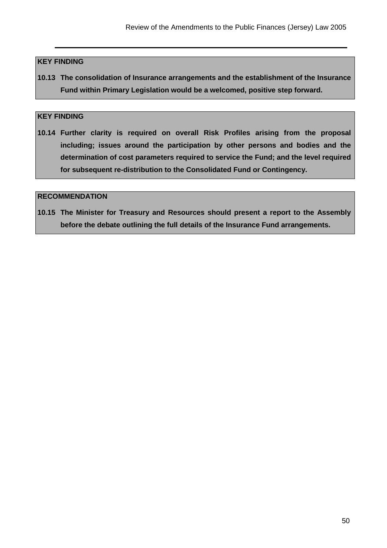#### **KEY FINDING**

**10.13 The consolidation of Insurance arrangements and the establishment of the Insurance Fund within Primary Legislation would be a welcomed, positive step forward.** 

#### **KEY FINDING**

**10.14 Further clarity is required on overall Risk Profiles arising from the proposal including; issues around the participation by other persons and bodies and the determination of cost parameters required to service the Fund; and the level required for subsequent re-distribution to the Consolidated Fund or Contingency.** 

#### **RECOMMENDATION**

**10.15 The Minister for Treasury and Resources should present a report to the Assembly before the debate outlining the full details of the Insurance Fund arrangements.**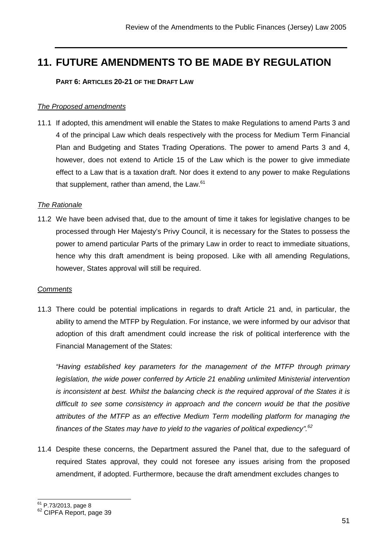# **11. FUTURE AMENDMENTS TO BE MADE BY REGULATION**

#### **PART 6: ARTICLES 20-21 OF THE DRAFT LAW**

#### The Proposed amendments

11.1 If adopted, this amendment will enable the States to make Regulations to amend Parts 3 and 4 of the principal Law which deals respectively with the process for Medium Term Financial Plan and Budgeting and States Trading Operations. The power to amend Parts 3 and 4, however, does not extend to Article 15 of the Law which is the power to give immediate effect to a Law that is a taxation draft. Nor does it extend to any power to make Regulations that supplement, rather than amend, the Law. $61$ 

#### The Rationale

11.2 We have been advised that, due to the amount of time it takes for legislative changes to be processed through Her Majesty's Privy Council, it is necessary for the States to possess the power to amend particular Parts of the primary Law in order to react to immediate situations, hence why this draft amendment is being proposed. Like with all amending Regulations, however, States approval will still be required.

#### **Comments**

11.3 There could be potential implications in regards to draft Article 21 and, in particular, the ability to amend the MTFP by Regulation. For instance, we were informed by our advisor that adoption of this draft amendment could increase the risk of political interference with the Financial Management of the States:

"Having established key parameters for the management of the MTFP through primary legislation, the wide power conferred by Article 21 enabling unlimited Ministerial intervention is inconsistent at best. Whilst the balancing check is the required approval of the States it is difficult to see some consistency in approach and the concern would be that the positive attributes of the MTFP as an effective Medium Term modelling platform for managing the finances of the States may have to yield to the vagaries of political expediency".<sup>62</sup>

11.4 Despite these concerns, the Department assured the Panel that, due to the safeguard of required States approval, they could not foresee any issues arising from the proposed amendment, if adopted. Furthermore, because the draft amendment excludes changes to

 $\overline{\phantom{a}}$ <sup>61</sup> P.73/2013, page 8

<sup>62</sup> CIPFA Report, page 39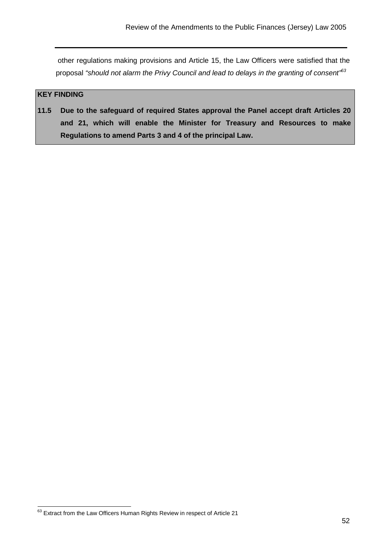other regulations making provisions and Article 15, the Law Officers were satisfied that the proposal "should not alarm the Privy Council and lead to delays in the granting of consent"63

# **KEY FINDING**

**11.5 Due to the safeguard of required States approval the Panel accept draft Articles 20 and 21, which will enable the Minister for Treasury and Resources to make Regulations to amend Parts 3 and 4 of the principal Law.** 

 $63$  Extract from the Law Officers Human Rights Review in respect of Article 21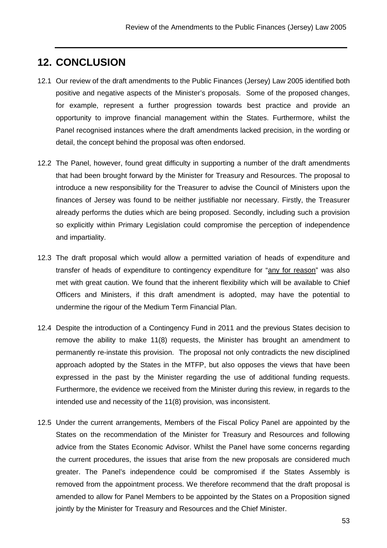# **12. CONCLUSION**

- 12.1 Our review of the draft amendments to the Public Finances (Jersey) Law 2005 identified both positive and negative aspects of the Minister's proposals. Some of the proposed changes, for example, represent a further progression towards best practice and provide an opportunity to improve financial management within the States. Furthermore, whilst the Panel recognised instances where the draft amendments lacked precision, in the wording or detail, the concept behind the proposal was often endorsed.
- 12.2 The Panel, however, found great difficulty in supporting a number of the draft amendments that had been brought forward by the Minister for Treasury and Resources. The proposal to introduce a new responsibility for the Treasurer to advise the Council of Ministers upon the finances of Jersey was found to be neither justifiable nor necessary. Firstly, the Treasurer already performs the duties which are being proposed. Secondly, including such a provision so explicitly within Primary Legislation could compromise the perception of independence and impartiality.
- 12.3 The draft proposal which would allow a permitted variation of heads of expenditure and transfer of heads of expenditure to contingency expenditure for "any for reason" was also met with great caution. We found that the inherent flexibility which will be available to Chief Officers and Ministers, if this draft amendment is adopted, may have the potential to undermine the rigour of the Medium Term Financial Plan.
- 12.4 Despite the introduction of a Contingency Fund in 2011 and the previous States decision to remove the ability to make 11(8) requests, the Minister has brought an amendment to permanently re-instate this provision. The proposal not only contradicts the new disciplined approach adopted by the States in the MTFP, but also opposes the views that have been expressed in the past by the Minister regarding the use of additional funding requests. Furthermore, the evidence we received from the Minister during this review, in regards to the intended use and necessity of the 11(8) provision, was inconsistent.
- 12.5 Under the current arrangements, Members of the Fiscal Policy Panel are appointed by the States on the recommendation of the Minister for Treasury and Resources and following advice from the States Economic Advisor. Whilst the Panel have some concerns regarding the current procedures, the issues that arise from the new proposals are considered much greater. The Panel's independence could be compromised if the States Assembly is removed from the appointment process. We therefore recommend that the draft proposal is amended to allow for Panel Members to be appointed by the States on a Proposition signed jointly by the Minister for Treasury and Resources and the Chief Minister.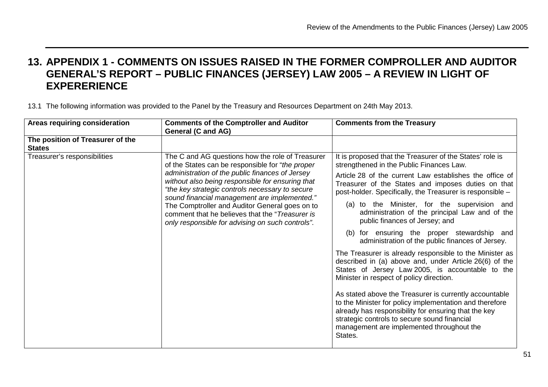# **13. APPENDIX 1 - COMMENTS ON ISSUES RAISED IN THE FORMER COMPROLLER AND AUDITOR GENERAL'S REPORT – PUBLIC FINANCES (JERSEY) LAW 2005 – A REVIEW IN LIGHT OF EXPERERIENCE**

13.1 The following information was provided to the Panel by the Treasury and Resources Department on 24th May 2013.

| Areas requiring consideration                     | <b>Comments of the Comptroller and Auditor</b><br><b>General (C and AG)</b>                                                                                                                                                                                                                                                                                                                                                                                             | <b>Comments from the Treasury</b>                                                                                                                                                                                                                                                                                                                                                                                                                                                                                                                                                                                                                                                                                                                                                                                                                                                                                                                                                                                                   |
|---------------------------------------------------|-------------------------------------------------------------------------------------------------------------------------------------------------------------------------------------------------------------------------------------------------------------------------------------------------------------------------------------------------------------------------------------------------------------------------------------------------------------------------|-------------------------------------------------------------------------------------------------------------------------------------------------------------------------------------------------------------------------------------------------------------------------------------------------------------------------------------------------------------------------------------------------------------------------------------------------------------------------------------------------------------------------------------------------------------------------------------------------------------------------------------------------------------------------------------------------------------------------------------------------------------------------------------------------------------------------------------------------------------------------------------------------------------------------------------------------------------------------------------------------------------------------------------|
| The position of Treasurer of the<br><b>States</b> |                                                                                                                                                                                                                                                                                                                                                                                                                                                                         |                                                                                                                                                                                                                                                                                                                                                                                                                                                                                                                                                                                                                                                                                                                                                                                                                                                                                                                                                                                                                                     |
| Treasurer's responsibilities                      | The C and AG questions how the role of Treasurer<br>of the States can be responsible for "the proper<br>administration of the public finances of Jersey<br>without also being responsible for ensuring that<br>"the key strategic controls necessary to secure<br>sound financial management are implemented."<br>The Comptroller and Auditor General goes on to<br>comment that he believes that the "Treasurer is<br>only responsible for advising on such controls". | It is proposed that the Treasurer of the States' role is<br>strengthened in the Public Finances Law.<br>Article 28 of the current Law establishes the office of<br>Treasurer of the States and imposes duties on that<br>post-holder. Specifically, the Treasurer is responsible -<br>(a) to the Minister, for the supervision and<br>administration of the principal Law and of the<br>public finances of Jersey; and<br>(b) for ensuring the proper stewardship and<br>administration of the public finances of Jersey.<br>The Treasurer is already responsible to the Minister as<br>described in (a) above and, under Article 26(6) of the<br>States of Jersey Law 2005, is accountable to the<br>Minister in respect of policy direction.<br>As stated above the Treasurer is currently accountable<br>to the Minister for policy implementation and therefore<br>already has responsibility for ensuring that the key<br>strategic controls to secure sound financial<br>management are implemented throughout the<br>States. |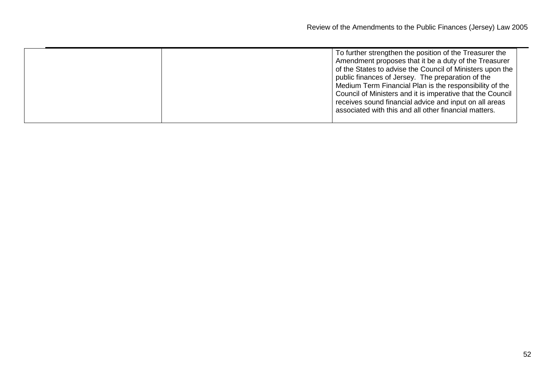| To further strengthen the position of the Treasurer the<br>Amendment proposes that it be a duty of the Treasurer<br>of the States to advise the Council of Ministers upon the<br>public finances of Jersey. The preparation of the<br>Medium Term Financial Plan is the responsibility of the<br>Council of Ministers and it is imperative that the Council<br>receives sound financial advice and input on all areas<br>associated with this and all other financial matters. |  |
|--------------------------------------------------------------------------------------------------------------------------------------------------------------------------------------------------------------------------------------------------------------------------------------------------------------------------------------------------------------------------------------------------------------------------------------------------------------------------------|--|
|                                                                                                                                                                                                                                                                                                                                                                                                                                                                                |  |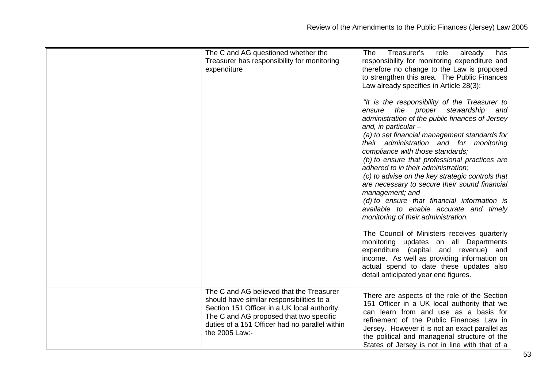| The C and AG questioned whether the<br>Treasurer has responsibility for monitoring<br>expenditure                                                                                                                                                    | The<br>Treasurer's<br>already<br>role<br>has<br>responsibility for monitoring expenditure and<br>therefore no change to the Law is proposed                                                                                                                                                                                                                                                                                                                                                                                                                                                                                                                                                                                                                                                                                                                                    |
|------------------------------------------------------------------------------------------------------------------------------------------------------------------------------------------------------------------------------------------------------|--------------------------------------------------------------------------------------------------------------------------------------------------------------------------------------------------------------------------------------------------------------------------------------------------------------------------------------------------------------------------------------------------------------------------------------------------------------------------------------------------------------------------------------------------------------------------------------------------------------------------------------------------------------------------------------------------------------------------------------------------------------------------------------------------------------------------------------------------------------------------------|
|                                                                                                                                                                                                                                                      | to strengthen this area. The Public Finances<br>Law already specifies in Article 28(3):                                                                                                                                                                                                                                                                                                                                                                                                                                                                                                                                                                                                                                                                                                                                                                                        |
|                                                                                                                                                                                                                                                      | "It is the responsibility of the Treasurer to<br>ensure the proper stewardship<br>and<br>administration of the public finances of Jersey<br>and, in particular $-$<br>(a) to set financial management standards for<br>their administration and for monitoring<br>compliance with those standards;<br>(b) to ensure that professional practices are<br>adhered to in their administration;<br>(c) to advise on the key strategic controls that<br>are necessary to secure their sound financial<br>management; and<br>(d) to ensure that financial information is<br>available to enable accurate and timely<br>monitoring of their administration.<br>The Council of Ministers receives quarterly<br>monitoring updates on all Departments<br>expenditure (capital and revenue) and<br>income. As well as providing information on<br>actual spend to date these updates also |
|                                                                                                                                                                                                                                                      | detail anticipated year end figures.                                                                                                                                                                                                                                                                                                                                                                                                                                                                                                                                                                                                                                                                                                                                                                                                                                           |
| The C and AG believed that the Treasurer<br>should have similar responsibilities to a<br>Section 151 Officer in a UK local authority.<br>The C and AG proposed that two specific<br>duties of a 151 Officer had no parallel within<br>the 2005 Law:- | There are aspects of the role of the Section<br>151 Officer in a UK local authority that we<br>can learn from and use as a basis for<br>refinement of the Public Finances Law in<br>Jersey. However it is not an exact parallel as<br>the political and managerial structure of the<br>States of Jersey is not in line with that of a                                                                                                                                                                                                                                                                                                                                                                                                                                                                                                                                          |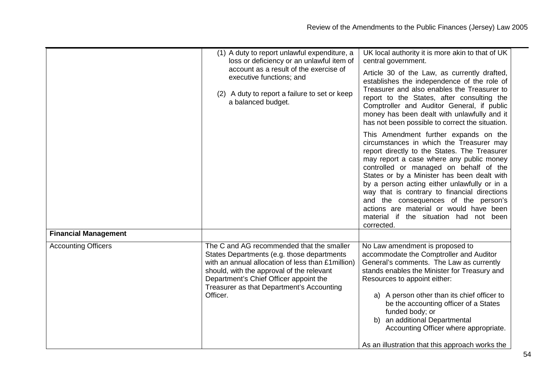|                             | (1) A duty to report unlawful expenditure, a<br>loss or deficiency or an unlawful item of<br>account as a result of the exercise of<br>executive functions; and<br>(2) A duty to report a failure to set or keep<br>a balanced budget.                                                        | UK local authority it is more akin to that of UK<br>central government.<br>Article 30 of the Law, as currently drafted,<br>establishes the independence of the role of<br>Treasurer and also enables the Treasurer to<br>report to the States, after consulting the<br>Comptroller and Auditor General, if public<br>money has been dealt with unlawfully and it<br>has not been possible to correct the situation.<br>This Amendment further expands on the<br>circumstances in which the Treasurer may<br>report directly to the States. The Treasurer<br>may report a case where any public money<br>controlled or managed on behalf of the<br>States or by a Minister has been dealt with<br>by a person acting either unlawfully or in a<br>way that is contrary to financial directions<br>and the consequences of the person's<br>actions are material or would have been<br>material if the situation had not been<br>corrected. |
|-----------------------------|-----------------------------------------------------------------------------------------------------------------------------------------------------------------------------------------------------------------------------------------------------------------------------------------------|------------------------------------------------------------------------------------------------------------------------------------------------------------------------------------------------------------------------------------------------------------------------------------------------------------------------------------------------------------------------------------------------------------------------------------------------------------------------------------------------------------------------------------------------------------------------------------------------------------------------------------------------------------------------------------------------------------------------------------------------------------------------------------------------------------------------------------------------------------------------------------------------------------------------------------------|
| <b>Financial Management</b> |                                                                                                                                                                                                                                                                                               |                                                                                                                                                                                                                                                                                                                                                                                                                                                                                                                                                                                                                                                                                                                                                                                                                                                                                                                                          |
| <b>Accounting Officers</b>  | The C and AG recommended that the smaller<br>States Departments (e.g. those departments<br>with an annual allocation of less than £1 million)<br>should, with the approval of the relevant<br>Department's Chief Officer appoint the<br>Treasurer as that Department's Accounting<br>Officer. | No Law amendment is proposed to<br>accommodate the Comptroller and Auditor<br>General's comments. The Law as currently<br>stands enables the Minister for Treasury and<br>Resources to appoint either:<br>a) A person other than its chief officer to<br>be the accounting officer of a States<br>funded body; or<br>b) an additional Departmental<br>Accounting Officer where appropriate.<br>As an illustration that this approach works the                                                                                                                                                                                                                                                                                                                                                                                                                                                                                           |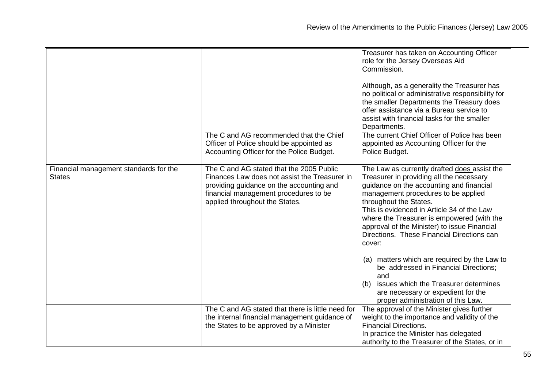|                                                         |                                                                                                                                                                                                                  | Treasurer has taken on Accounting Officer<br>role for the Jersey Overseas Aid<br>Commission.<br>Although, as a generality the Treasurer has<br>no political or administrative responsibility for<br>the smaller Departments the Treasury does<br>offer assistance via a Bureau service to<br>assist with financial tasks for the smaller<br>Departments.                                                  |
|---------------------------------------------------------|------------------------------------------------------------------------------------------------------------------------------------------------------------------------------------------------------------------|-----------------------------------------------------------------------------------------------------------------------------------------------------------------------------------------------------------------------------------------------------------------------------------------------------------------------------------------------------------------------------------------------------------|
|                                                         | The C and AG recommended that the Chief<br>Officer of Police should be appointed as<br>Accounting Officer for the Police Budget.                                                                                 | The current Chief Officer of Police has been<br>appointed as Accounting Officer for the<br>Police Budget.                                                                                                                                                                                                                                                                                                 |
|                                                         |                                                                                                                                                                                                                  |                                                                                                                                                                                                                                                                                                                                                                                                           |
| Financial management standards for the<br><b>States</b> | The C and AG stated that the 2005 Public<br>Finances Law does not assist the Treasurer in<br>providing guidance on the accounting and<br>financial management procedures to be<br>applied throughout the States. | The Law as currently drafted does assist the<br>Treasurer in providing all the necessary<br>guidance on the accounting and financial<br>management procedures to be applied<br>throughout the States.<br>This is evidenced in Article 34 of the Law<br>where the Treasurer is empowered (with the<br>approval of the Minister) to issue Financial<br>Directions. These Financial Directions can<br>cover: |
|                                                         |                                                                                                                                                                                                                  | (a) matters which are required by the Law to<br>be addressed in Financial Directions;<br>and<br>issues which the Treasurer determines<br>(b)<br>are necessary or expedient for the<br>proper administration of this Law.                                                                                                                                                                                  |
|                                                         | The C and AG stated that there is little need for                                                                                                                                                                | The approval of the Minister gives further                                                                                                                                                                                                                                                                                                                                                                |
|                                                         | the internal financial management guidance of                                                                                                                                                                    | weight to the importance and validity of the                                                                                                                                                                                                                                                                                                                                                              |
|                                                         | the States to be approved by a Minister                                                                                                                                                                          | <b>Financial Directions.</b>                                                                                                                                                                                                                                                                                                                                                                              |
|                                                         |                                                                                                                                                                                                                  | In practice the Minister has delegated<br>authority to the Treasurer of the States, or in                                                                                                                                                                                                                                                                                                                 |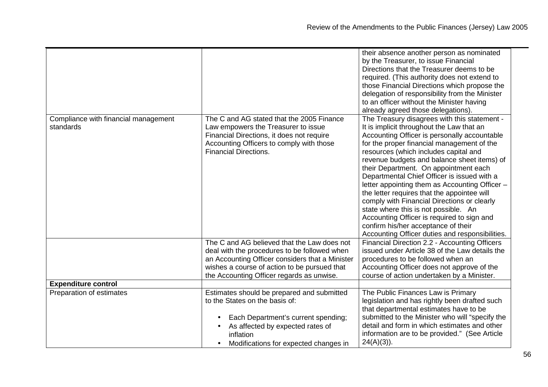|                                      |                                                                                                 | their absence another person as nominated<br>by the Treasurer, to issue Financial<br>Directions that the Treasurer deems to be<br>required. (This authority does not extend to<br>those Financial Directions which propose the |
|--------------------------------------|-------------------------------------------------------------------------------------------------|--------------------------------------------------------------------------------------------------------------------------------------------------------------------------------------------------------------------------------|
|                                      |                                                                                                 | delegation of responsibility from the Minister<br>to an officer without the Minister having                                                                                                                                    |
|                                      |                                                                                                 | already agreed those delegations).                                                                                                                                                                                             |
| Compliance with financial management | The C and AG stated that the 2005 Finance                                                       | The Treasury disagrees with this statement -                                                                                                                                                                                   |
| standards                            | Law empowers the Treasurer to issue                                                             | It is implicit throughout the Law that an                                                                                                                                                                                      |
|                                      | Financial Directions, it does not require                                                       | Accounting Officer is personally accountable                                                                                                                                                                                   |
|                                      | Accounting Officers to comply with those                                                        | for the proper financial management of the                                                                                                                                                                                     |
|                                      | <b>Financial Directions.</b>                                                                    | resources (which includes capital and                                                                                                                                                                                          |
|                                      |                                                                                                 | revenue budgets and balance sheet items) of<br>their Department. On appointment each                                                                                                                                           |
|                                      |                                                                                                 | Departmental Chief Officer is issued with a                                                                                                                                                                                    |
|                                      |                                                                                                 | letter appointing them as Accounting Officer -                                                                                                                                                                                 |
|                                      |                                                                                                 | the letter requires that the appointee will                                                                                                                                                                                    |
|                                      |                                                                                                 | comply with Financial Directions or clearly                                                                                                                                                                                    |
|                                      |                                                                                                 | state where this is not possible. An                                                                                                                                                                                           |
|                                      |                                                                                                 | Accounting Officer is required to sign and                                                                                                                                                                                     |
|                                      |                                                                                                 | confirm his/her acceptance of their                                                                                                                                                                                            |
|                                      |                                                                                                 | Accounting Officer duties and responsibilities.                                                                                                                                                                                |
|                                      | The C and AG believed that the Law does not                                                     | Financial Direction 2.2 - Accounting Officers                                                                                                                                                                                  |
|                                      | deal with the procedures to be followed when                                                    | issued under Article 38 of the Law details the                                                                                                                                                                                 |
|                                      | an Accounting Officer considers that a Minister<br>wishes a course of action to be pursued that | procedures to be followed when an<br>Accounting Officer does not approve of the                                                                                                                                                |
|                                      | the Accounting Officer regards as unwise.                                                       | course of action undertaken by a Minister.                                                                                                                                                                                     |
| <b>Expenditure control</b>           |                                                                                                 |                                                                                                                                                                                                                                |
| Preparation of estimates             | Estimates should be prepared and submitted                                                      | The Public Finances Law is Primary                                                                                                                                                                                             |
|                                      | to the States on the basis of:                                                                  | legislation and has rightly been drafted such<br>that departmental estimates have to be                                                                                                                                        |
|                                      | Each Department's current spending;                                                             | submitted to the Minister who will "specify the                                                                                                                                                                                |
|                                      | As affected by expected rates of<br>inflation                                                   | detail and form in which estimates and other<br>information are to be provided." (See Article                                                                                                                                  |
|                                      | Modifications for expected changes in                                                           | $24(A)(3)$ ).                                                                                                                                                                                                                  |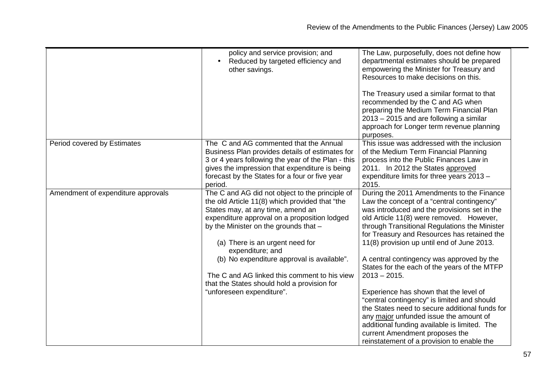|                                    | policy and service provision; and<br>Reduced by targeted efficiency and<br>other savings.                                                                                                                                                                                                                                                                                                                                                                        | The Law, purposefully, does not define how<br>departmental estimates should be prepared<br>empowering the Minister for Treasury and<br>Resources to make decisions on this.<br>The Treasury used a similar format to that<br>recommended by the C and AG when<br>preparing the Medium Term Financial Plan<br>2013 – 2015 and are following a similar<br>approach for Longer term revenue planning<br>purposes.                                                                                                                                                                                                                                                                                                                                                        |
|------------------------------------|------------------------------------------------------------------------------------------------------------------------------------------------------------------------------------------------------------------------------------------------------------------------------------------------------------------------------------------------------------------------------------------------------------------------------------------------------------------|-----------------------------------------------------------------------------------------------------------------------------------------------------------------------------------------------------------------------------------------------------------------------------------------------------------------------------------------------------------------------------------------------------------------------------------------------------------------------------------------------------------------------------------------------------------------------------------------------------------------------------------------------------------------------------------------------------------------------------------------------------------------------|
| Period covered by Estimates        | The C and AG commented that the Annual<br>Business Plan provides details of estimates for<br>3 or 4 years following the year of the Plan - this<br>gives the impression that expenditure is being<br>forecast by the States for a four or five year<br>period.                                                                                                                                                                                                   | This issue was addressed with the inclusion<br>of the Medium Term Financial Planning<br>process into the Public Finances Law in<br>2011. In 2012 the States approved<br>expenditure limits for three years 2013 -<br>2015.                                                                                                                                                                                                                                                                                                                                                                                                                                                                                                                                            |
| Amendment of expenditure approvals | The C and AG did not object to the principle of<br>the old Article 11(8) which provided that "the<br>States may, at any time, amend an<br>expenditure approval on a proposition lodged<br>by the Minister on the grounds that -<br>(a) There is an urgent need for<br>expenditure; and<br>(b) No expenditure approval is available".<br>The C and AG linked this comment to his view<br>that the States should hold a provision for<br>"unforeseen expenditure". | During the 2011 Amendments to the Finance<br>Law the concept of a "central contingency"<br>was introduced and the provisions set in the<br>old Article 11(8) were removed. However,<br>through Transitional Regulations the Minister<br>for Treasury and Resources has retained the<br>11(8) provision up until end of June 2013.<br>A central contingency was approved by the<br>States for the each of the years of the MTFP<br>$2013 - 2015.$<br>Experience has shown that the level of<br>"central contingency" is limited and should<br>the States need to secure additional funds for<br>any major unfunded issue the amount of<br>additional funding available is limited. The<br>current Amendment proposes the<br>reinstatement of a provision to enable the |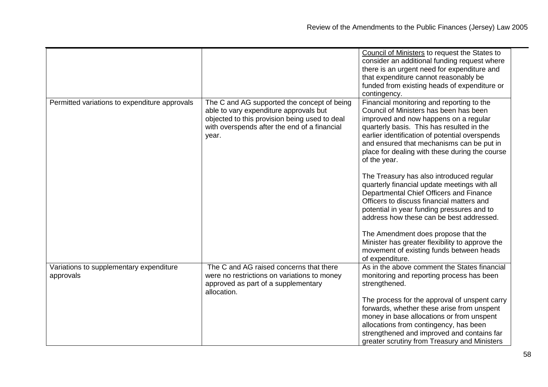|                                                      |                                                                                                                                                                                                 | Council of Ministers to request the States to<br>consider an additional funding request where<br>there is an urgent need for expenditure and<br>that expenditure cannot reasonably be<br>funded from existing heads of expenditure or<br>contingency.                                                                                                                                                                                                                                                                                                                                                                    |
|------------------------------------------------------|-------------------------------------------------------------------------------------------------------------------------------------------------------------------------------------------------|--------------------------------------------------------------------------------------------------------------------------------------------------------------------------------------------------------------------------------------------------------------------------------------------------------------------------------------------------------------------------------------------------------------------------------------------------------------------------------------------------------------------------------------------------------------------------------------------------------------------------|
| Permitted variations to expenditure approvals        | The C and AG supported the concept of being<br>able to vary expenditure approvals but<br>objected to this provision being used to deal<br>with overspends after the end of a financial<br>year. | Financial monitoring and reporting to the<br>Council of Ministers has been has been<br>improved and now happens on a regular<br>quarterly basis. This has resulted in the<br>earlier identification of potential overspends<br>and ensured that mechanisms can be put in<br>place for dealing with these during the course<br>of the year.<br>The Treasury has also introduced regular<br>quarterly financial update meetings with all<br>Departmental Chief Officers and Finance<br>Officers to discuss financial matters and<br>potential in year funding pressures and to<br>address how these can be best addressed. |
|                                                      |                                                                                                                                                                                                 | The Amendment does propose that the<br>Minister has greater flexibility to approve the<br>movement of existing funds between heads<br>of expenditure.                                                                                                                                                                                                                                                                                                                                                                                                                                                                    |
| Variations to supplementary expenditure<br>approvals | The C and AG raised concerns that there<br>were no restrictions on variations to money<br>approved as part of a supplementary<br>allocation.                                                    | As in the above comment the States financial<br>monitoring and reporting process has been<br>strengthened.<br>The process for the approval of unspent carry<br>forwards, whether these arise from unspent<br>money in base allocations or from unspent<br>allocations from contingency, has been<br>strengthened and improved and contains far<br>greater scrutiny from Treasury and Ministers                                                                                                                                                                                                                           |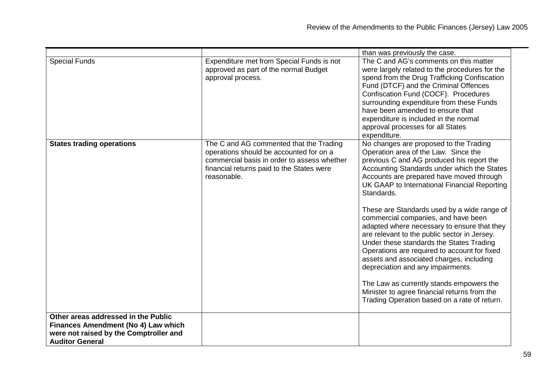|                                                                                                                                                |                                                                                                                                                                                               | than was previously the case.                                                                                                                                                                                                                                                                                                                                                                                                                                                                                                                                                                                                                                                                                                                                                                      |
|------------------------------------------------------------------------------------------------------------------------------------------------|-----------------------------------------------------------------------------------------------------------------------------------------------------------------------------------------------|----------------------------------------------------------------------------------------------------------------------------------------------------------------------------------------------------------------------------------------------------------------------------------------------------------------------------------------------------------------------------------------------------------------------------------------------------------------------------------------------------------------------------------------------------------------------------------------------------------------------------------------------------------------------------------------------------------------------------------------------------------------------------------------------------|
| <b>Special Funds</b>                                                                                                                           | Expenditure met from Special Funds is not<br>approved as part of the normal Budget<br>approval process.                                                                                       | The C and AG's comments on this matter<br>were largely related to the procedures for the<br>spend from the Drug Trafficking Confiscation<br>Fund (DTCF) and the Criminal Offences<br>Confiscation Fund (COCF). Procedures<br>surrounding expenditure from these Funds<br>have been amended to ensure that<br>expenditure is included in the normal<br>approval processes for all States<br>expenditure.                                                                                                                                                                                                                                                                                                                                                                                            |
| <b>States trading operations</b>                                                                                                               | The C and AG commented that the Trading<br>operations should be accounted for on a<br>commercial basis in order to assess whether<br>financial returns paid to the States were<br>reasonable. | No changes are proposed to the Trading<br>Operation area of the Law. Since the<br>previous C and AG produced his report the<br>Accounting Standards under which the States<br>Accounts are prepared have moved through<br>UK GAAP to International Financial Reporting<br>Standards.<br>These are Standards used by a wide range of<br>commercial companies, and have been<br>adapted where necessary to ensure that they<br>are relevant to the public sector in Jersey.<br>Under these standards the States Trading<br>Operations are required to account for fixed<br>assets and associated charges, including<br>depreciation and any impairments.<br>The Law as currently stands empowers the<br>Minister to agree financial returns from the<br>Trading Operation based on a rate of return. |
| Other areas addressed in the Public<br>Finances Amendment (No 4) Law which<br>were not raised by the Comptroller and<br><b>Auditor General</b> |                                                                                                                                                                                               |                                                                                                                                                                                                                                                                                                                                                                                                                                                                                                                                                                                                                                                                                                                                                                                                    |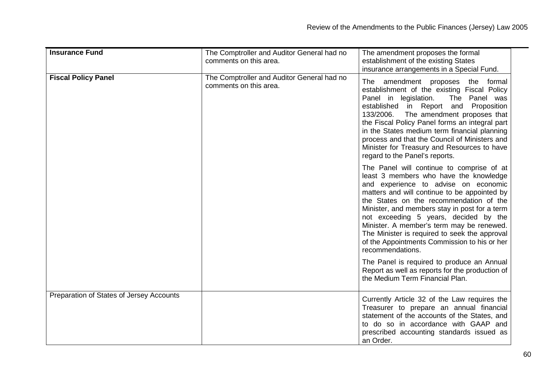| <b>Insurance Fund</b>                    | The Comptroller and Auditor General had no<br>comments on this area. | The amendment proposes the formal<br>establishment of the existing States<br>insurance arrangements in a Special Fund.                                                                                                                                                                                                                                                                                                                                                             |
|------------------------------------------|----------------------------------------------------------------------|------------------------------------------------------------------------------------------------------------------------------------------------------------------------------------------------------------------------------------------------------------------------------------------------------------------------------------------------------------------------------------------------------------------------------------------------------------------------------------|
| <b>Fiscal Policy Panel</b>               | The Comptroller and Auditor General had no<br>comments on this area. | The amendment proposes the<br>formal<br>establishment of the existing Fiscal Policy<br>The Panel was<br>Panel in legislation.<br>established in Report and Proposition<br>133/2006. The amendment proposes that<br>the Fiscal Policy Panel forms an integral part<br>in the States medium term financial planning<br>process and that the Council of Ministers and<br>Minister for Treasury and Resources to have<br>regard to the Panel's reports.                                |
|                                          |                                                                      | The Panel will continue to comprise of at<br>least 3 members who have the knowledge<br>and experience to advise on economic<br>matters and will continue to be appointed by<br>the States on the recommendation of the<br>Minister, and members stay in post for a term<br>not exceeding 5 years, decided by the<br>Minister. A member's term may be renewed.<br>The Minister is required to seek the approval<br>of the Appointments Commission to his or her<br>recommendations. |
|                                          |                                                                      | The Panel is required to produce an Annual<br>Report as well as reports for the production of<br>the Medium Term Financial Plan.                                                                                                                                                                                                                                                                                                                                                   |
| Preparation of States of Jersey Accounts |                                                                      | Currently Article 32 of the Law requires the<br>Treasurer to prepare an annual financial<br>statement of the accounts of the States, and<br>to do so in accordance with GAAP and<br>prescribed accounting standards issued as<br>an Order.                                                                                                                                                                                                                                         |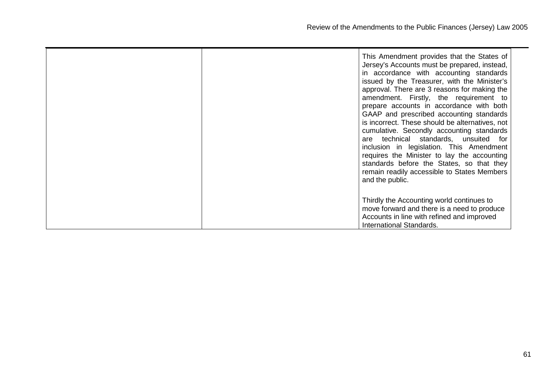|  | This Amendment provides that the States of<br>Jersey's Accounts must be prepared, instead,<br>in accordance with accounting standards<br>issued by the Treasurer, with the Minister's<br>approval. There are 3 reasons for making the<br>amendment. Firstly, the requirement to<br>prepare accounts in accordance with both<br>GAAP and prescribed accounting standards<br>is incorrect. These should be alternatives, not<br>cumulative. Secondly accounting standards<br>are technical standards, unsuited for<br>inclusion in legislation. This Amendment<br>requires the Minister to lay the accounting<br>standards before the States, so that they<br>remain readily accessible to States Members<br>and the public. |
|--|----------------------------------------------------------------------------------------------------------------------------------------------------------------------------------------------------------------------------------------------------------------------------------------------------------------------------------------------------------------------------------------------------------------------------------------------------------------------------------------------------------------------------------------------------------------------------------------------------------------------------------------------------------------------------------------------------------------------------|
|  | Thirdly the Accounting world continues to<br>move forward and there is a need to produce<br>Accounts in line with refined and improved<br>International Standards.                                                                                                                                                                                                                                                                                                                                                                                                                                                                                                                                                         |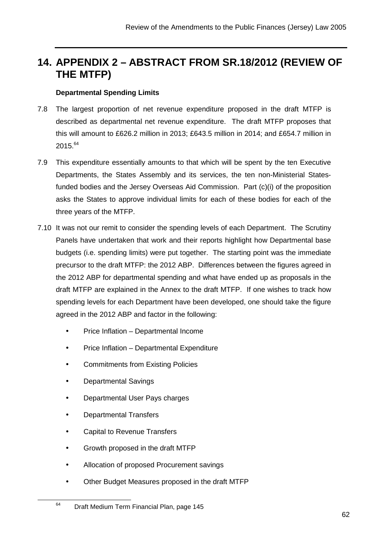# **14. APPENDIX 2 – ABSTRACT FROM SR.18/2012 (REVIEW OF THE MTFP)**

# **Departmental Spending Limits**

- 7.8 The largest proportion of net revenue expenditure proposed in the draft MTFP is described as departmental net revenue expenditure. The draft MTFP proposes that this will amount to £626.2 million in 2013; £643.5 million in 2014; and £654.7 million in  $2015.<sup>64</sup>$
- 7.9 This expenditure essentially amounts to that which will be spent by the ten Executive Departments, the States Assembly and its services, the ten non-Ministerial Statesfunded bodies and the Jersey Overseas Aid Commission. Part (c)(i) of the proposition asks the States to approve individual limits for each of these bodies for each of the three years of the MTFP.
- 7.10 It was not our remit to consider the spending levels of each Department. The Scrutiny Panels have undertaken that work and their reports highlight how Departmental base budgets (i.e. spending limits) were put together. The starting point was the immediate precursor to the draft MTFP: the 2012 ABP. Differences between the figures agreed in the 2012 ABP for departmental spending and what have ended up as proposals in the draft MTFP are explained in the Annex to the draft MTFP. If one wishes to track how spending levels for each Department have been developed, one should take the figure agreed in the 2012 ABP and factor in the following:
	- Price Inflation Departmental Income
	- Price Inflation Departmental Expenditure
	- Commitments from Existing Policies
	- Departmental Savings
	- Departmental User Pays charges
	- Departmental Transfers

- Capital to Revenue Transfers
- Growth proposed in the draft MTFP
- Allocation of proposed Procurement savings
- Other Budget Measures proposed in the draft MTFP

<sup>64</sup> Draft Medium Term Financial Plan, page 145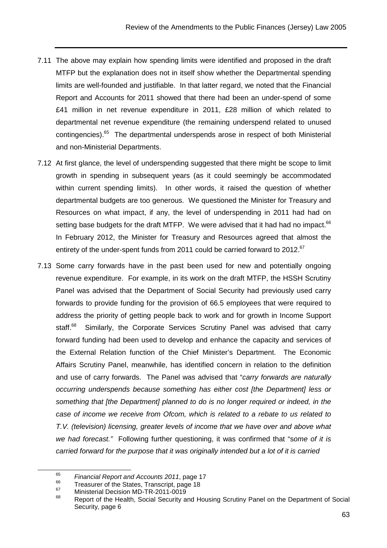- 7.11 The above may explain how spending limits were identified and proposed in the draft MTFP but the explanation does not in itself show whether the Departmental spending limits are well-founded and justifiable. In that latter regard, we noted that the Financial Report and Accounts for 2011 showed that there had been an under-spend of some £41 million in net revenue expenditure in 2011, £28 million of which related to departmental net revenue expenditure (the remaining underspend related to unused contingencies).<sup>65</sup> The departmental underspends arose in respect of both Ministerial and non-Ministerial Departments.
- 7.12 At first glance, the level of underspending suggested that there might be scope to limit growth in spending in subsequent years (as it could seemingly be accommodated within current spending limits). In other words, it raised the question of whether departmental budgets are too generous. We questioned the Minister for Treasury and Resources on what impact, if any, the level of underspending in 2011 had had on setting base budgets for the draft MTFP. We were advised that it had had no impact. $66$ In February 2012, the Minister for Treasury and Resources agreed that almost the entirety of the under-spent funds from 2011 could be carried forward to 2012.<sup>67</sup>
- 7.13 Some carry forwards have in the past been used for new and potentially ongoing revenue expenditure. For example, in its work on the draft MTFP, the HSSH Scrutiny Panel was advised that the Department of Social Security had previously used carry forwards to provide funding for the provision of 66.5 employees that were required to address the priority of getting people back to work and for growth in Income Support staff.<sup>68</sup> Similarly, the Corporate Services Scrutiny Panel was advised that carry forward funding had been used to develop and enhance the capacity and services of the External Relation function of the Chief Minister's Department. The Economic Affairs Scrutiny Panel, meanwhile, has identified concern in relation to the definition and use of carry forwards. The Panel was advised that "carry forwards are naturally occurring underspends because something has either cost [the Department] less or something that [the Department] planned to do is no longer required or indeed, in the case of income we receive from Ofcom, which is related to a rebate to us related to T.V. (television) licensing, greater levels of income that we have over and above what we had forecast." Following further questioning, it was confirmed that "some of it is carried forward for the purpose that it was originally intended but a lot of it is carried

<sup>65</sup>  $^{65}$  Financial Report and Accounts 2011, page 17

 $^{66}$  Treasurer of the States, Transcript, page 18<br> $^{67}$  Ministerial Decision MD TD 2044, 0040

 $^{67}$  Ministerial Decision MD-TR-2011-0019

Report of the Health, Social Security and Housing Scrutiny Panel on the Department of Social Security, page 6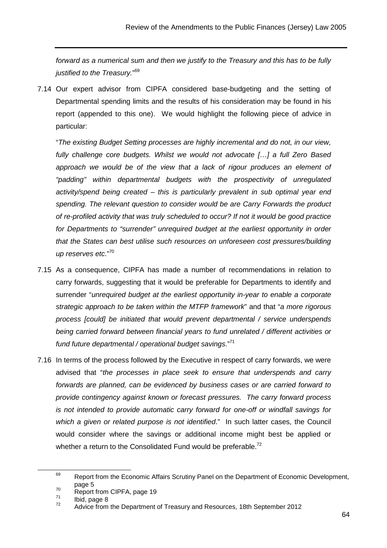forward as a numerical sum and then we justify to the Treasury and this has to be fully justified to the Treasury."<sup>69</sup>

7.14 Our expert advisor from CIPFA considered base-budgeting and the setting of Departmental spending limits and the results of his consideration may be found in his report (appended to this one). We would highlight the following piece of advice in particular:

"The existing Budget Setting processes are highly incremental and do not, in our view, fully challenge core budgets. Whilst we would not advocate […] a full Zero Based approach we would be of the view that a lack of rigour produces an element of "padding" within departmental budgets with the prospectivity of unregulated activity/spend being created – this is particularly prevalent in sub optimal year end spending. The relevant question to consider would be are Carry Forwards the product of re-profiled activity that was truly scheduled to occur? If not it would be good practice for Departments to "surrender" unrequired budget at the earliest opportunity in order that the States can best utilise such resources on unforeseen cost pressures/building up reserves etc."<sup>70</sup>

- 7.15 As a consequence, CIPFA has made a number of recommendations in relation to carry forwards, suggesting that it would be preferable for Departments to identify and surrender "unrequired budget at the earliest opportunity in-year to enable a corporate strategic approach to be taken within the MTFP framework" and that "a more rigorous process [could] be initiated that would prevent departmental / service underspends being carried forward between financial years to fund unrelated / different activities or fund future departmental / operational budget savings."<sup>71</sup>
- 7.16 In terms of the process followed by the Executive in respect of carry forwards, we were advised that "the processes in place seek to ensure that underspends and carry forwards are planned, can be evidenced by business cases or are carried forward to provide contingency against known or forecast pressures. The carry forward process is not intended to provide automatic carry forward for one-off or windfall savings for which a given or related purpose is not identified." In such latter cases, the Council would consider where the savings or additional income might best be applied or whether a return to the Consolidated Fund would be preferable.<sup>72</sup>

 $69$  Report from the Economic Affairs Scrutiny Panel on the Department of Economic Development, page 5

 $^{70}$  Report from CIPFA, page 19

 $\frac{71}{72}$  Ibid, page 8

<sup>72</sup> Advice from the Department of Treasury and Resources, 18th September 2012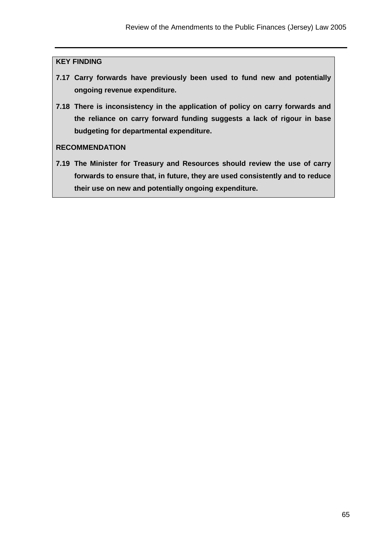#### **KEY FINDING**

- **7.17 Carry forwards have previously been used to fund new and potentially ongoing revenue expenditure.**
- **7.18 There is inconsistency in the application of policy on carry forwards and the reliance on carry forward funding suggests a lack of rigour in base budgeting for departmental expenditure.**

#### **RECOMMENDATION**

**7.19 The Minister for Treasury and Resources should review the use of carry forwards to ensure that, in future, they are used consistently and to reduce their use on new and potentially ongoing expenditure.**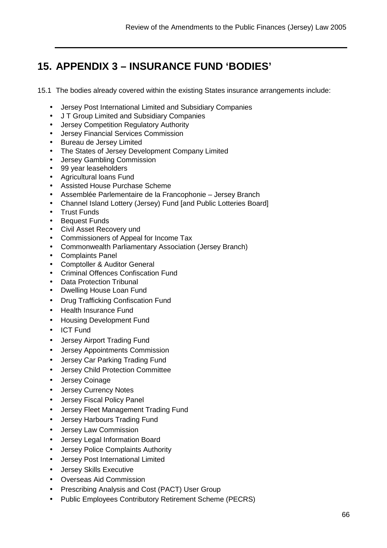# **15. APPENDIX 3 – INSURANCE FUND 'BODIES'**

15.1 The bodies already covered within the existing States insurance arrangements include:

- Jersey Post International Limited and Subsidiary Companies
- J T Group Limited and Subsidiary Companies
- Jersey Competition Regulatory Authority
- Jersey Financial Services Commission
- Bureau de Jersey Limited
- The States of Jersey Development Company Limited
- Jersey Gambling Commission
- 99 year leaseholders
- Agricultural loans Fund
- Assisted House Purchase Scheme
- Assemblée Parlementaire de la Francophonie Jersey Branch
- Channel Island Lottery (Jersey) Fund [and Public Lotteries Board]
- Trust Funds
- **Bequest Funds**
- Civil Asset Recovery und
- Commissioners of Appeal for Income Tax
- Commonwealth Parliamentary Association (Jersey Branch)
- Complaints Panel
- Comptoller & Auditor General
- Criminal Offences Confiscation Fund
- Data Protection Tribunal
- Dwelling House Loan Fund
- Drug Trafficking Confiscation Fund
- Health Insurance Fund
- Housing Development Fund
- ICT Fund
- Jersey Airport Trading Fund
- Jersey Appointments Commission
- Jersey Car Parking Trading Fund
- Jersey Child Protection Committee
- Jersey Coinage
- Jersey Currency Notes
- Jersey Fiscal Policy Panel
- Jersey Fleet Management Trading Fund
- Jersey Harbours Trading Fund
- Jersey Law Commission
- Jersey Legal Information Board
- Jersey Police Complaints Authority
- Jersey Post International Limited
- Jersey Skills Executive
- Overseas Aid Commission
- Prescribing Analysis and Cost (PACT) User Group
- Public Employees Contributory Retirement Scheme (PECRS)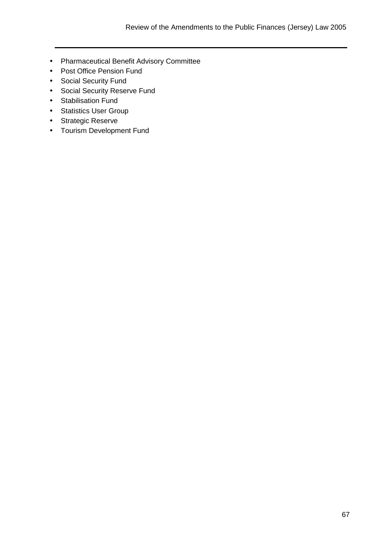- Pharmaceutical Benefit Advisory Committee
- Post Office Pension Fund
- Social Security Fund
- Social Security Reserve Fund
- Stabilisation Fund
- Statistics User Group
- Strategic Reserve
- Tourism Development Fund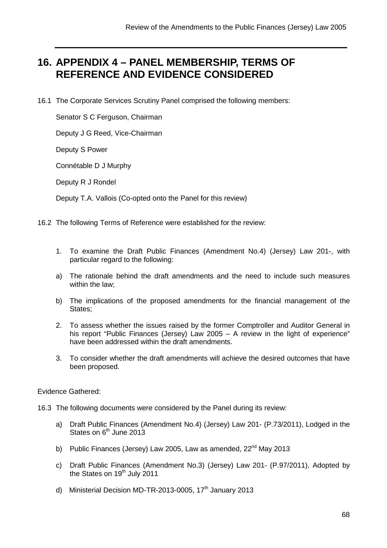## **16. APPENDIX 4 – PANEL MEMBERSHIP, TERMS OF REFERENCE AND EVIDENCE CONSIDERED**

16.1 The Corporate Services Scrutiny Panel comprised the following members:

Senator S C Ferguson, Chairman

Deputy J G Reed, Vice-Chairman

Deputy S Power

Connétable D J Murphy

Deputy R J Rondel

Deputy T.A. Vallois (Co-opted onto the Panel for this review)

16.2 The following Terms of Reference were established for the review:

- 1. To examine the Draft Public Finances (Amendment No.4) (Jersey) Law 201-, with particular regard to the following:
- a) The rationale behind the draft amendments and the need to include such measures within the law;
- b) The implications of the proposed amendments for the financial management of the States;
- 2. To assess whether the issues raised by the former Comptroller and Auditor General in his report "Public Finances (Jersey) Law 2005 – A review in the light of experience" have been addressed within the draft amendments.
- 3. To consider whether the draft amendments will achieve the desired outcomes that have been proposed.

Evidence Gathered:

16.3 The following documents were considered by the Panel during its review:

- a) Draft Public Finances (Amendment No.4) (Jersey) Law 201- (P.73/2011), Lodged in the States on  $6<sup>th</sup>$  June 2013
- b) Public Finances (Jersey) Law 2005, Law as amended,  $22<sup>nd</sup>$  May 2013
- c) Draft Public Finances (Amendment No.3) (Jersey) Law 201- (P.97/2011), Adopted by the States on 19<sup>th</sup> July 2011
- d) Ministerial Decision MD-TR-2013-0005, 17<sup>th</sup> January 2013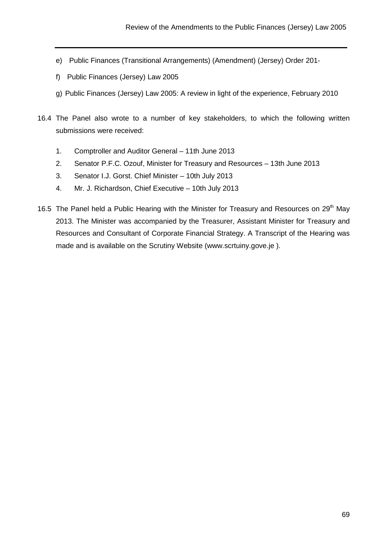- e) Public Finances (Transitional Arrangements) (Amendment) (Jersey) Order 201-
- f) Public Finances (Jersey) Law 2005
- g) Public Finances (Jersey) Law 2005: A review in light of the experience, February 2010
- 16.4 The Panel also wrote to a number of key stakeholders, to which the following written submissions were received:
	- 1. Comptroller and Auditor General 11th June 2013
	- 2. Senator P.F.C. Ozouf, Minister for Treasury and Resources 13th June 2013
	- 3. Senator I.J. Gorst. Chief Minister 10th July 2013
	- 4. Mr. J. Richardson, Chief Executive 10th July 2013
- 16.5 The Panel held a Public Hearing with the Minister for Treasury and Resources on  $29<sup>th</sup>$  May 2013. The Minister was accompanied by the Treasurer, Assistant Minister for Treasury and Resources and Consultant of Corporate Financial Strategy. A Transcript of the Hearing was made and is available on the Scrutiny Website (www.scrtuiny.gove.je ).